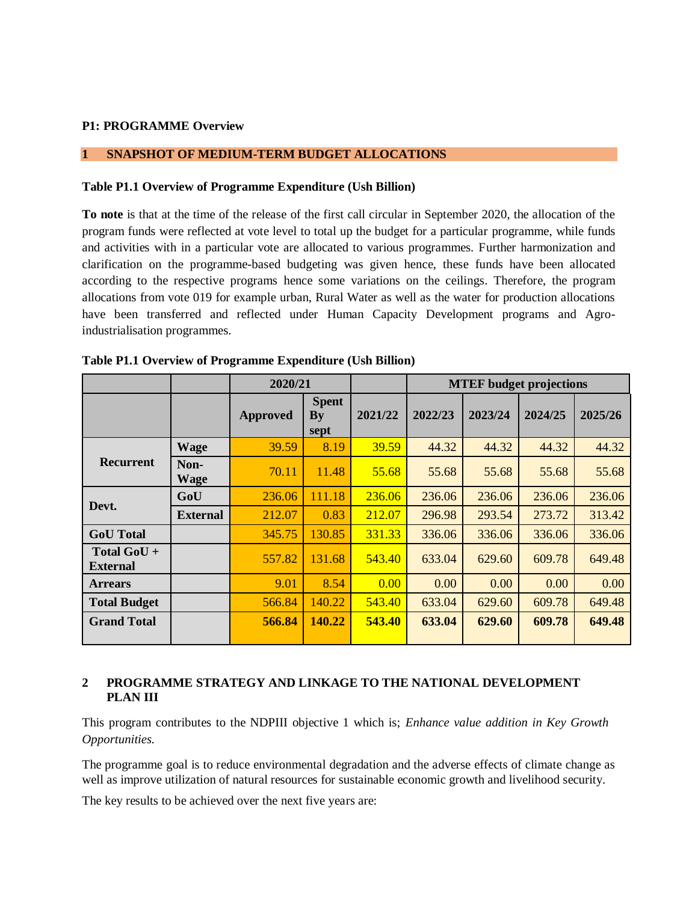#### **P1: PROGRAMME Overview**

#### **1 SNAPSHOT OF MEDIUM-TERM BUDGET ALLOCATIONS**

#### **Table P1.1 Overview of Programme Expenditure (Ush Billion)**

**To note** is that at the time of the release of the first call circular in September 2020, the allocation of the program funds were reflected at vote level to total up the budget for a particular programme, while funds and activities with in a particular vote are allocated to various programmes. Further harmonization and clarification on the programme-based budgeting was given hence, these funds have been allocated according to the respective programs hence some variations on the ceilings. Therefore, the program allocations from vote 019 for example urban, Rural Water as well as the water for production allocations have been transferred and reflected under Human Capacity Development programs and Agroindustrialisation programmes.

|                                |                     | 2020/21         |                            |         |         | <b>MTEF</b> budget projections |         |         |  |
|--------------------------------|---------------------|-----------------|----------------------------|---------|---------|--------------------------------|---------|---------|--|
|                                |                     | <b>Approved</b> | <b>Spent</b><br>By<br>sept | 2021/22 | 2022/23 | 2023/24                        | 2024/25 | 2025/26 |  |
|                                | <b>Wage</b>         | 39.59           | 8.19                       | 39.59   | 44.32   | 44.32                          | 44.32   | 44.32   |  |
| Recurrent                      | Non-<br><b>Wage</b> | 70.11           | 11.48                      | 55.68   | 55.68   | 55.68                          | 55.68   | 55.68   |  |
|                                | GoU                 | 236.06          | 111.18                     | 236.06  | 236.06  | 236.06                         | 236.06  | 236.06  |  |
| Devt.                          | <b>External</b>     | 212.07          | 0.83                       | 212.07  | 296.98  | 293.54                         | 273.72  | 313.42  |  |
| <b>GoU</b> Total               |                     | 345.75          | 130.85                     | 331.33  | 336.06  | 336.06                         | 336.06  | 336.06  |  |
| Total GoU +<br><b>External</b> |                     | 557.82          | 131.68                     | 543.40  | 633.04  | 629.60                         | 609.78  | 649.48  |  |
| <b>Arrears</b>                 |                     | 9.01            | 8.54                       | 0.00    | 0.00    | 0.00                           | 0.00    | 0.00    |  |
| <b>Total Budget</b>            |                     | 566.84          | 140.22                     | 543.40  | 633.04  | 629.60                         | 609.78  | 649.48  |  |
| <b>Grand Total</b>             |                     | 566.84          | 140.22                     | 543.40  | 633.04  | 629.60                         | 609.78  | 649.48  |  |

#### **Table P1.1 Overview of Programme Expenditure (Ush Billion)**

#### **2 PROGRAMME STRATEGY AND LINKAGE TO THE NATIONAL DEVELOPMENT PLAN III**

This program contributes to the NDPIII objective 1 which is; *Enhance value addition in Key Growth Opportunities.*

The programme goal is to reduce environmental degradation and the adverse effects of climate change as well as improve utilization of natural resources for sustainable economic growth and livelihood security.

The key results to be achieved over the next five years are: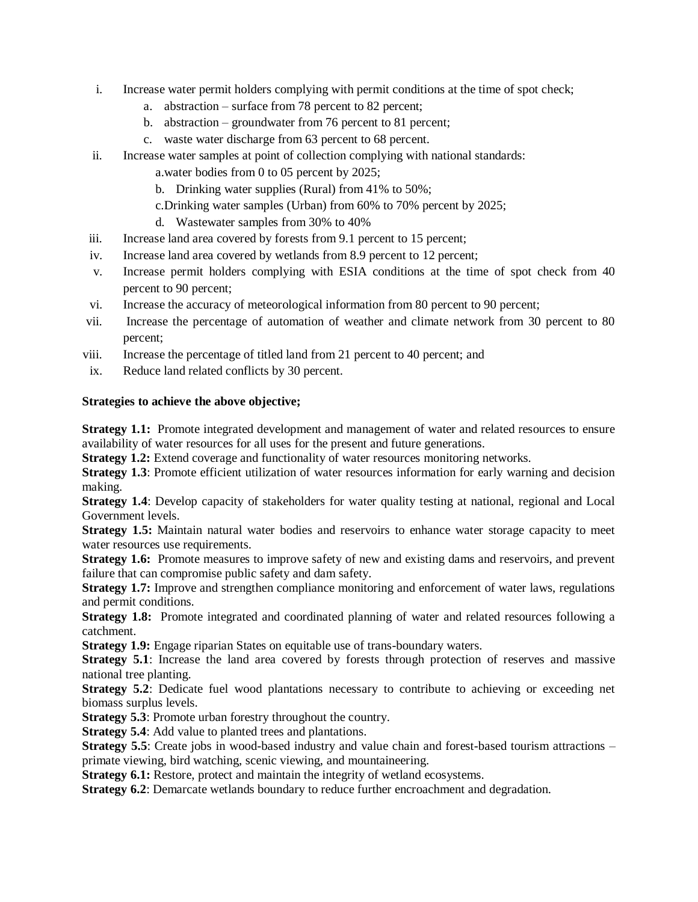- i. Increase water permit holders complying with permit conditions at the time of spot check;
	- a. abstraction surface from 78 percent to 82 percent;
	- b. abstraction groundwater from 76 percent to 81 percent;
	- c. waste water discharge from 63 percent to 68 percent.
- ii. Increase water samples at point of collection complying with national standards:
	- a.water bodies from 0 to 05 percent by 2025;
	- b. Drinking water supplies (Rural) from 41% to 50%;
	- c.Drinking water samples (Urban) from 60% to 70% percent by 2025;
	- d. Wastewater samples from 30% to 40%
- iii. Increase land area covered by forests from 9.1 percent to 15 percent;
- iv. Increase land area covered by wetlands from 8.9 percent to 12 percent;
- v. Increase permit holders complying with ESIA conditions at the time of spot check from 40 percent to 90 percent;
- vi. Increase the accuracy of meteorological information from 80 percent to 90 percent;
- vii. Increase the percentage of automation of weather and climate network from 30 percent to 80 percent;
- viii. Increase the percentage of titled land from 21 percent to 40 percent; and
- ix. Reduce land related conflicts by 30 percent.

#### **Strategies to achieve the above objective;**

**Strategy 1.1:** Promote integrated development and management of water and related resources to ensure availability of water resources for all uses for the present and future generations.

**Strategy 1.2:** Extend coverage and functionality of water resources monitoring networks.

**Strategy 1.3**: Promote efficient utilization of water resources information for early warning and decision making.

**Strategy 1.4**: Develop capacity of stakeholders for water quality testing at national, regional and Local Government levels.

**Strategy 1.5:** Maintain natural water bodies and reservoirs to enhance water storage capacity to meet water resources use requirements.

**Strategy 1.6:** Promote measures to improve safety of new and existing dams and reservoirs, and prevent failure that can compromise public safety and dam safety.

**Strategy 1.7:** Improve and strengthen compliance monitoring and enforcement of water laws, regulations and permit conditions.

**Strategy 1.8:** Promote integrated and coordinated planning of water and related resources following a catchment.

**Strategy 1.9:** Engage riparian States on equitable use of trans-boundary waters.

**Strategy 5.1**: Increase the land area covered by forests through protection of reserves and massive national tree planting.

**Strategy 5.2**: Dedicate fuel wood plantations necessary to contribute to achieving or exceeding net biomass surplus levels.

**Strategy 5.3**: Promote urban forestry throughout the country.

**Strategy 5.4**: Add value to planted trees and plantations.

**Strategy 5.5**: Create jobs in wood-based industry and value chain and forest-based tourism attractions – primate viewing, bird watching, scenic viewing, and mountaineering.

**Strategy 6.1:** Restore, protect and maintain the integrity of wetland ecosystems.

**Strategy 6.2**: Demarcate wetlands boundary to reduce further encroachment and degradation.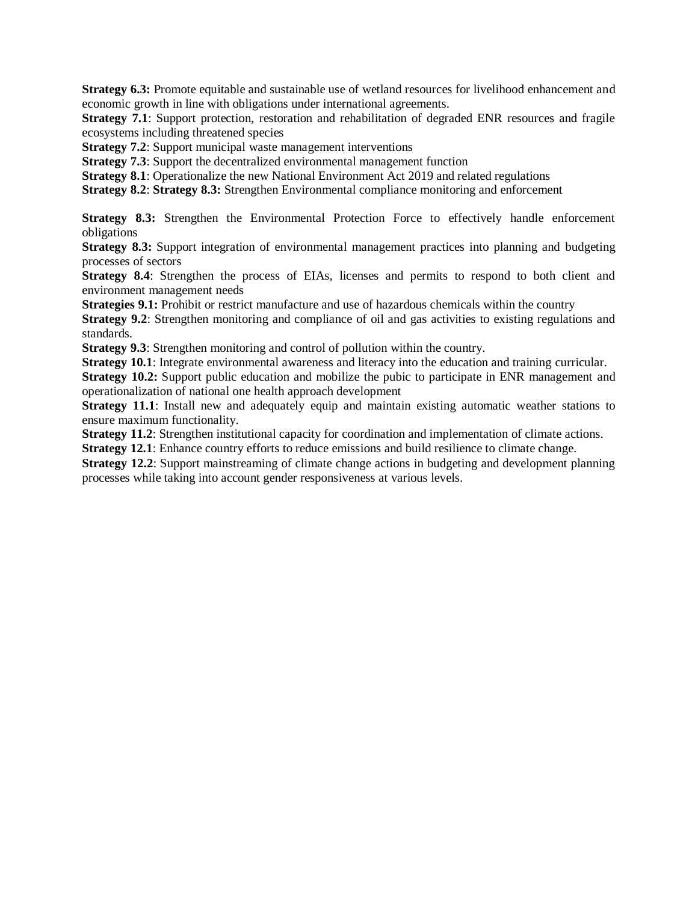**Strategy 6.3:** Promote equitable and sustainable use of wetland resources for livelihood enhancement and economic growth in line with obligations under international agreements.

**Strategy 7.1**: Support protection, restoration and rehabilitation of degraded ENR resources and fragile ecosystems including threatened species

**Strategy 7.2**: Support municipal waste management interventions

**Strategy 7.3:** Support the decentralized environmental management function

**Strategy 8.1**: Operationalize the new National Environment Act 2019 and related regulations

**Strategy 8.2**: **Strategy 8.3:** Strengthen Environmental compliance monitoring and enforcement

Strategy 8.3: Strengthen the Environmental Protection Force to effectively handle enforcement obligations

**Strategy 8.3:** Support integration of environmental management practices into planning and budgeting processes of sectors

**Strategy 8.4**: Strengthen the process of EIAs, licenses and permits to respond to both client and environment management needs

**Strategies 9.1:** Prohibit or restrict manufacture and use of hazardous chemicals within the country

**Strategy 9.2:** Strengthen monitoring and compliance of oil and gas activities to existing regulations and standards.

**Strategy 9.3**: Strengthen monitoring and control of pollution within the country.

**Strategy 10.1**: Integrate environmental awareness and literacy into the education and training curricular.

**Strategy 10.2:** Support public education and mobilize the pubic to participate in ENR management and operationalization of national one health approach development

**Strategy 11.1**: Install new and adequately equip and maintain existing automatic weather stations to ensure maximum functionality.

**Strategy 11.2**: Strengthen institutional capacity for coordination and implementation of climate actions.

**Strategy 12.1**: Enhance country efforts to reduce emissions and build resilience to climate change.

**Strategy 12.2**: Support mainstreaming of climate change actions in budgeting and development planning processes while taking into account gender responsiveness at various levels.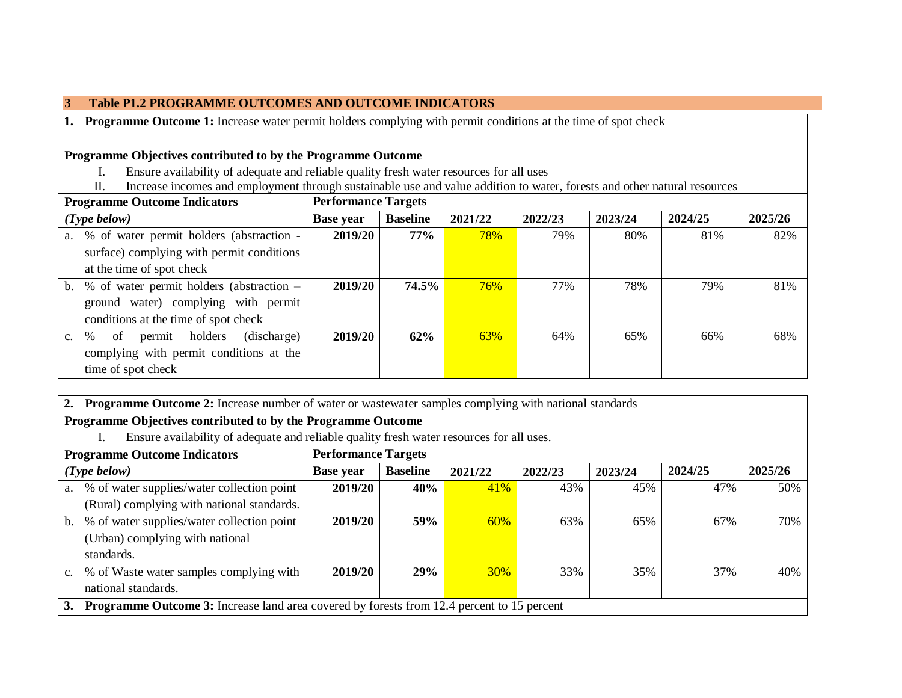### **3 Table P1.2 PROGRAMME OUTCOMES AND OUTCOME INDICATORS**

**1. Programme Outcome 1:** Increase water permit holders complying with permit conditions at the time of spot check

## **Programme Objectives contributed to by the Programme Outcome**

- I. Ensure availability of adequate and reliable quality fresh water resources for all uses
- II. Increase incomes and employment through sustainable use and value addition to water, forests and other natural resources

| <b>Programme Outcome Indicators</b> |                                             |                  | <b>Performance Targets</b> |         |         |         |         |         |
|-------------------------------------|---------------------------------------------|------------------|----------------------------|---------|---------|---------|---------|---------|
|                                     | $(Type\ below)$                             | <b>Base year</b> | <b>Baseline</b>            | 2021/22 | 2022/23 | 2023/24 | 2024/25 | 2025/26 |
|                                     | a. % of water permit holders (abstraction - | 2019/20          | 77%                        | 78%     | 79%     | 80%     | 81%     | 82%     |
|                                     | surface) complying with permit conditions   |                  |                            |         |         |         |         |         |
|                                     | at the time of spot check                   |                  |                            |         |         |         |         |         |
| $\mathbf b$ .                       | % of water permit holders (abstraction –    | 2019/20          | 74.5%                      | 76%     | 77%     | 78%     | 79%     | 81%     |
|                                     | ground water) complying with permit         |                  |                            |         |         |         |         |         |
|                                     | conditions at the time of spot check        |                  |                            |         |         |         |         |         |
| $c_{\cdot}$                         | holders<br>(discharge)<br>of<br>%<br>permit | 2019/20          | 62%                        | 63%     | 64%     | 65%     | 66%     | 68%     |
|                                     | complying with permit conditions at the     |                  |                            |         |         |         |         |         |
|                                     | time of spot check                          |                  |                            |         |         |         |         |         |

**2. Programme Outcome 2:** Increase number of water or wastewater samples complying with national standards

## **Programme Objectives contributed to by the Programme Outcome**

I. Ensure availability of adequate and reliable quality fresh water resources for all uses.

| <b>Programme Outcome Indicators</b> |                                                                                                   |                  | <b>Performance Targets</b> |            |         |         |         |         |  |
|-------------------------------------|---------------------------------------------------------------------------------------------------|------------------|----------------------------|------------|---------|---------|---------|---------|--|
|                                     | $(Type\ below)$                                                                                   | <b>Base year</b> | <b>Baseline</b>            | 2021/22    | 2022/23 | 2023/24 | 2024/25 | 2025/26 |  |
|                                     | a. % of water supplies/water collection point                                                     | 2019/20          | 40%                        | 41%        | 43%     | 45%     | 47%     | 50%     |  |
|                                     | (Rural) complying with national standards.                                                        |                  |                            |            |         |         |         |         |  |
|                                     | b. % of water supplies/water collection point                                                     | 2019/20          | <b>59%</b>                 | 60%        | 63%     | 65%     | 67%     | 70%     |  |
|                                     | (Urban) complying with national                                                                   |                  |                            |            |         |         |         |         |  |
|                                     | standards.                                                                                        |                  |                            |            |         |         |         |         |  |
|                                     | c. % of Waste water samples complying with                                                        | 2019/20          | 29%                        | <b>30%</b> | 33%     | 35%     | 37%     | 40%     |  |
|                                     | national standards.                                                                               |                  |                            |            |         |         |         |         |  |
| 3.                                  | <b>Programme Outcome 3:</b> Increase land area covered by forests from 12.4 percent to 15 percent |                  |                            |            |         |         |         |         |  |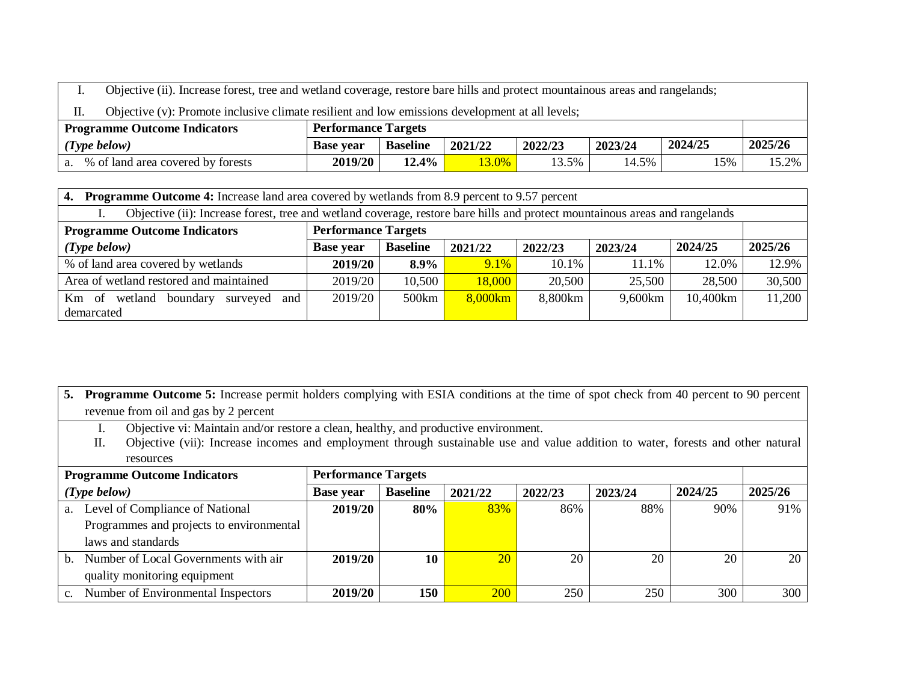I. Objective (ii). Increase forest, tree and wetland coverage, restore bare hills and protect mountainous areas and rangelands;

II. Objective (v): Promote inclusive climate resilient and low emissions development at all levels;

| <b>Programme Outcome Indicators</b>     | <b>Performance Targets</b> |                 |         |         |         |         |         |
|-----------------------------------------|----------------------------|-----------------|---------|---------|---------|---------|---------|
| $(Type\ below)$                         | <b>Base vear</b>           | <b>Baseline</b> | 2021/22 | 2022/23 | 2023/24 | 2024/25 | 2025/26 |
| % of land area covered by forests<br>a. | 2019/20                    | 12.4%           | 3.0%    | 13.5%   | 14.5%   | 15%     | 15.2%   |

| <b>Programme Outcome 4:</b> Increase land area covered by wetlands from 8.9 percent to 9.57 percent<br>4.                   |                            |                 |         |         |         |          |         |
|-----------------------------------------------------------------------------------------------------------------------------|----------------------------|-----------------|---------|---------|---------|----------|---------|
| Objective (ii): Increase forest, tree and wetland coverage, restore bare hills and protect mountainous areas and rangelands |                            |                 |         |         |         |          |         |
| <b>Programme Outcome Indicators</b>                                                                                         | <b>Performance Targets</b> |                 |         |         |         |          |         |
| $(Type\ below)$                                                                                                             | <b>Base year</b>           | <b>Baseline</b> | 2021/22 | 2022/23 | 2023/24 | 2024/25  | 2025/26 |
| % of land area covered by wetlands                                                                                          | 2019/20                    | 8.9%            | $9.1\%$ | 10.1%   | 11.1%   | 12.0%    | 12.9%   |
| Area of wetland restored and maintained                                                                                     | 2019/20                    | 10,500          | 18,000  | 20,500  | 25,500  | 28,500   | 30,500  |
| Km of wetland<br>boundary<br>surveyed and                                                                                   | 2019/20                    | 500km           | 8,000km | 8,800km | 9,600km | 10,400km | 11,200  |
| demarcated                                                                                                                  |                            |                 |         |         |         |          |         |

| 5. Programme Outcome 5: Increase permit holders complying with ESIA conditions at the time of spot check from 40 percent to 90 percent |
|----------------------------------------------------------------------------------------------------------------------------------------|
| revenue from oil and gas by 2 percent                                                                                                  |

- I. Objective vi: Maintain and/or restore a clean, healthy, and productive environment.
- II. Objective (vii): Increase incomes and employment through sustainable use and value addition to water, forests and other natural resources

|             | <b>Programme Outcome Indicators</b>      |                  | <b>Performance Targets</b> |            |         |         |         |         |  |
|-------------|------------------------------------------|------------------|----------------------------|------------|---------|---------|---------|---------|--|
|             | $(Type\ below)$                          | <b>Base year</b> | <b>Baseline</b>            | 2021/22    | 2022/23 | 2023/24 | 2024/25 | 2025/26 |  |
| a.          | Level of Compliance of National          | 2019/20          | 80%                        | 83%        | 86%     | 88%     | 90%     | 91%     |  |
|             | Programmes and projects to environmental |                  |                            |            |         |         |         |         |  |
|             | laws and standards                       |                  |                            |            |         |         |         |         |  |
| $h_{\cdot}$ | Number of Local Governments with air     | 2019/20          | 10                         | 20         | 20      | 20      | 20      | 20      |  |
|             | quality monitoring equipment             |                  |                            |            |         |         |         |         |  |
| $c_{\cdot}$ | Number of Environmental Inspectors       | 2019/20          | 150                        | <b>200</b> | 250     | 250     | 300     | 300     |  |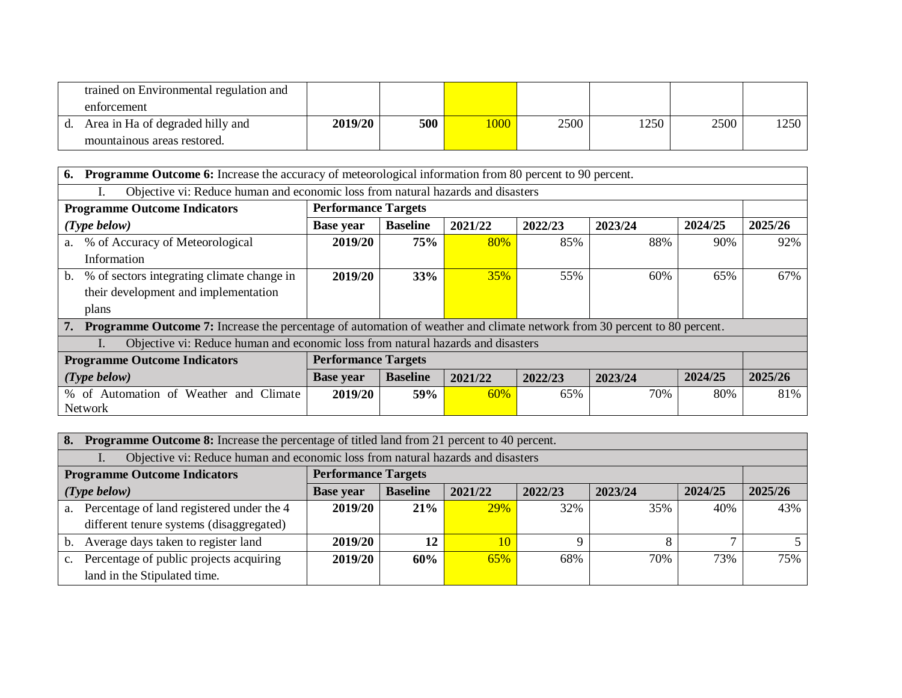| trained on Environmental regulation and |         |     |      |      |      |      |      |
|-----------------------------------------|---------|-----|------|------|------|------|------|
| enforcement                             |         |     |      |      |      |      |      |
| Area in Ha of degraded hilly and        | 2019/20 | 500 | 1000 | 2500 | 1250 | 2500 | 1250 |
| mountainous areas restored.             |         |     |      |      |      |      |      |

| 6.                                                                                                 | <b>Programme Outcome 6:</b> Increase the accuracy of meteorological information from 80 percent to 90 percent.                  |                            |                 |         |         |         |         |         |
|----------------------------------------------------------------------------------------------------|---------------------------------------------------------------------------------------------------------------------------------|----------------------------|-----------------|---------|---------|---------|---------|---------|
| Objective vi: Reduce human and economic loss from natural hazards and disasters                    |                                                                                                                                 |                            |                 |         |         |         |         |         |
|                                                                                                    | <b>Programme Outcome Indicators</b>                                                                                             | <b>Performance Targets</b> |                 |         |         |         |         |         |
|                                                                                                    | $(Type\ below)$                                                                                                                 | <b>Base year</b>           | <b>Baseline</b> | 2021/22 | 2022/23 | 2023/24 | 2024/25 | 2025/26 |
| a.                                                                                                 | % of Accuracy of Meteorological                                                                                                 | 2019/20                    | 75%             | 80%     | 85%     | 88%     | 90%     | 92%     |
|                                                                                                    | Information                                                                                                                     |                            |                 |         |         |         |         |         |
| b.                                                                                                 | % of sectors integrating climate change in                                                                                      | 2019/20                    | 33%             | 35%     | 55%     | 60%     | 65%     | 67%     |
|                                                                                                    | their development and implementation                                                                                            |                            |                 |         |         |         |         |         |
|                                                                                                    | plans                                                                                                                           |                            |                 |         |         |         |         |         |
| 7.                                                                                                 | <b>Programme Outcome 7:</b> Increase the percentage of automation of weather and climate network from 30 percent to 80 percent. |                            |                 |         |         |         |         |         |
|                                                                                                    | Objective vi: Reduce human and economic loss from natural hazards and disasters                                                 |                            |                 |         |         |         |         |         |
|                                                                                                    | <b>Programme Outcome Indicators</b>                                                                                             | <b>Performance Targets</b> |                 |         |         |         |         |         |
| 2024/25<br><b>Baseline</b><br>$(Type\ below)$<br>2021/22<br>2022/23<br>2023/24<br><b>Base year</b> |                                                                                                                                 |                            |                 |         | 2025/26 |         |         |         |
|                                                                                                    | % of Automation of Weather and Climate                                                                                          | 2019/20                    | <b>59%</b>      | 60%     | 65%     | 70%     | 80%     | 81%     |
|                                                                                                    | <b>Network</b>                                                                                                                  |                            |                 |         |         |         |         |         |

| 8.             | <b>Programme Outcome 8:</b> Increase the percentage of titled land from 21 percent to 40 percent. |                            |                 |         |         |         |         |         |
|----------------|---------------------------------------------------------------------------------------------------|----------------------------|-----------------|---------|---------|---------|---------|---------|
|                | Objective vi: Reduce human and economic loss from natural hazards and disasters                   |                            |                 |         |         |         |         |         |
|                | <b>Programme Outcome Indicators</b>                                                               | <b>Performance Targets</b> |                 |         |         |         |         |         |
|                | $(Type\ below)$                                                                                   | <b>Base year</b>           | <b>Baseline</b> | 2021/22 | 2022/23 | 2023/24 | 2024/25 | 2025/26 |
| $a_{\cdot}$    | Percentage of land registered under the 4                                                         | 2019/20                    | 21%             | 29%     | 32%     | 35%     | 40%     | 43%     |
|                | different tenure systems (disaggregated)                                                          |                            |                 |         |         |         |         |         |
| $\mathbf{b}$ . | Average days taken to register land                                                               | 2019/20                    | 12              | 10      |         |         |         |         |
| $c_{\cdot}$    | Percentage of public projects acquiring                                                           | 2019/20                    | 60%             | 65%     | 68%     | 70%     | 73%     | 75%     |
|                | land in the Stipulated time.                                                                      |                            |                 |         |         |         |         |         |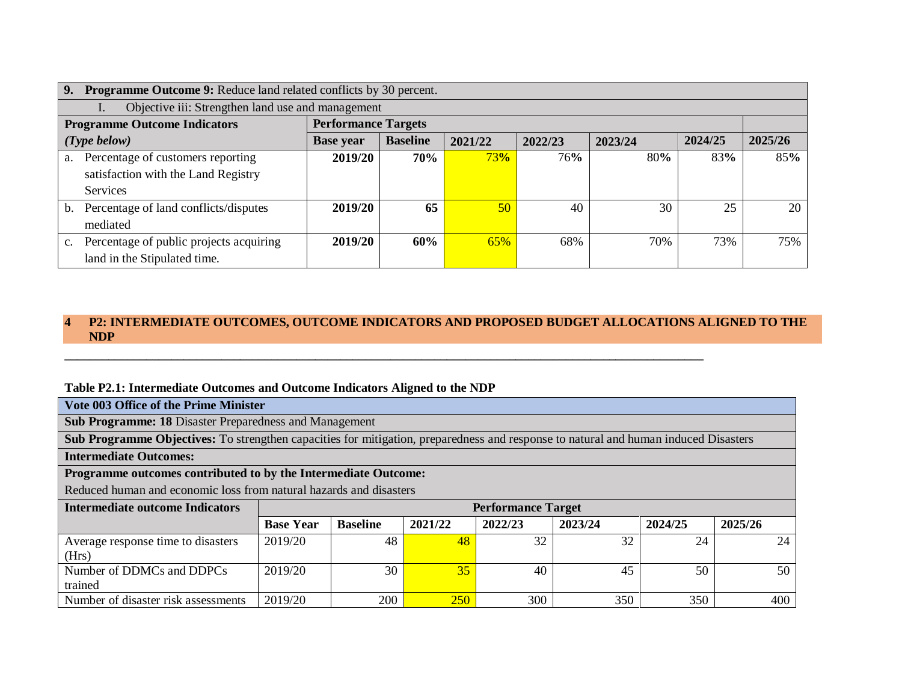| 9.<br><b>Programme Outcome 9:</b> Reduce land related conflicts by 30 percent. |                                         |                            |                 |         |         |         |         |         |
|--------------------------------------------------------------------------------|-----------------------------------------|----------------------------|-----------------|---------|---------|---------|---------|---------|
| Objective iii: Strengthen land use and management                              |                                         |                            |                 |         |         |         |         |         |
|                                                                                | <b>Programme Outcome Indicators</b>     | <b>Performance Targets</b> |                 |         |         |         |         |         |
|                                                                                | $(Type\ below)$                         | <b>Base year</b>           | <b>Baseline</b> | 2021/22 | 2022/23 | 2023/24 | 2024/25 | 2025/26 |
| a.                                                                             | Percentage of customers reporting       | 2019/20                    | 70%             | 73%     | 76%     | 80%     | 83%     | 85%     |
|                                                                                | satisfaction with the Land Registry     |                            |                 |         |         |         |         |         |
|                                                                                | Services                                |                            |                 |         |         |         |         |         |
| $\mathbf{b}$ .                                                                 | Percentage of land conflicts/disputes   | 2019/20                    | 65              | 50      | 40      | 30      | 25      | 20      |
|                                                                                | mediated                                |                            |                 |         |         |         |         |         |
| $c_{\cdot}$                                                                    | Percentage of public projects acquiring | 2019/20                    | 60%             | 65%     | 68%     | 70%     | 73%     | 75%     |
|                                                                                | land in the Stipulated time.            |                            |                 |         |         |         |         |         |

### **4 P2: INTERMEDIATE OUTCOMES, OUTCOME INDICATORS AND PROPOSED BUDGET ALLOCATIONS ALIGNED TO THE NDP**

**\_\_\_\_\_\_\_\_\_\_\_\_\_\_\_\_\_\_\_\_\_\_\_\_\_\_\_\_\_\_\_\_\_\_\_\_\_\_\_\_\_\_\_\_\_\_\_\_\_\_\_\_\_\_\_\_\_\_\_\_\_\_\_\_\_\_\_\_\_\_\_\_\_\_\_\_\_\_\_\_\_\_\_\_\_\_\_\_\_\_\_\_\_\_\_\_\_\_\_\_\_\_**

### **Table P2.1: Intermediate Outcomes and Outcome Indicators Aligned to the NDP**

| Vote 003 Office of the Prime Minister                                                                                                      |
|--------------------------------------------------------------------------------------------------------------------------------------------|
| <b>Sub Programme: 18 Disaster Preparedness and Management</b>                                                                              |
| <b>Sub Programme Objectives:</b> To strengthen capacities for mitigation, preparedness and response to natural and human induced Disasters |

**Intermediate Outcomes:** 

**Programme outcomes contributed to by the Intermediate Outcome:**

Reduced human and economic loss from natural hazards and disasters

| Intermediate outcome Indicators             |                  |                 |         | <b>Performance Target</b> |         |         |         |
|---------------------------------------------|------------------|-----------------|---------|---------------------------|---------|---------|---------|
|                                             | <b>Base Year</b> | <b>Baseline</b> | 2021/22 | 2022/23                   | 2023/24 | 2024/25 | 2025/26 |
| Average response time to disasters<br>(Hrs) | 2019/20          | 48              | 48      | 32                        | 32      | 24      | 24      |
| Number of DDMCs and DDPCs<br>trained        | 2019/20          | 30              | 35      | 40                        |         | 50      | 50      |
| Number of disaster risk assessments         | 2019/20          | 200             | 250     | 300                       | 350     | 350     | 400     |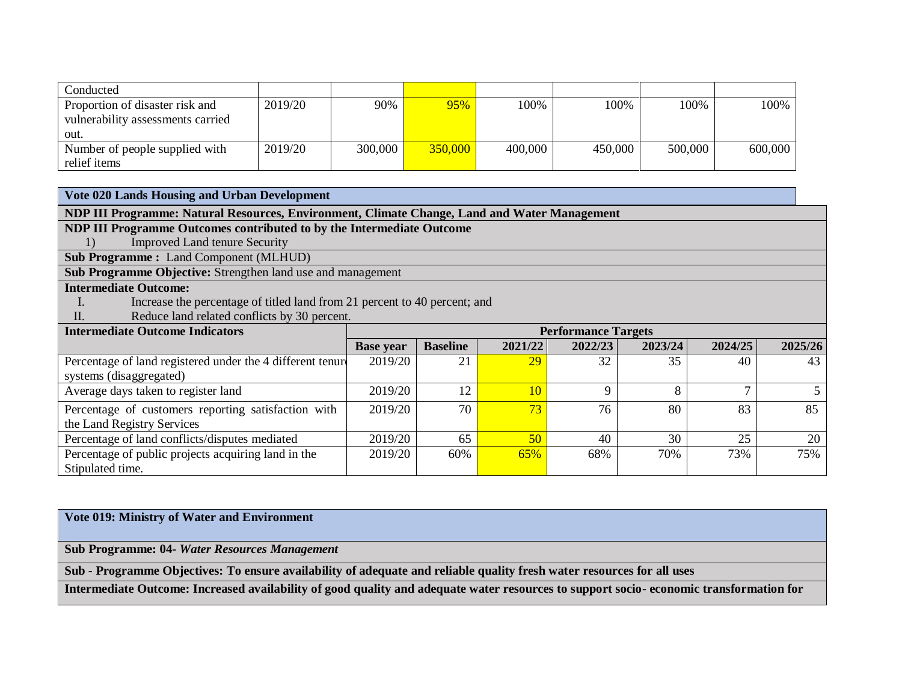| Conducted                         |         |         |         |         |         |         |         |
|-----------------------------------|---------|---------|---------|---------|---------|---------|---------|
| Proportion of disaster risk and   | 2019/20 | 90%     | 95%     | 100%    | 100%    | 100%    | 100%    |
| vulnerability assessments carried |         |         |         |         |         |         |         |
| out.                              |         |         |         |         |         |         |         |
| Number of people supplied with    | 2019/20 | 300,000 | 350,000 | 400,000 | 450,000 | 500,000 | 600,000 |
| relief items                      |         |         |         |         |         |         |         |

**Vote 020 Lands Housing and Urban Development**

**NDP III Programme: Natural Resources, Environment, Climate Change, Land and Water Management** 

**NDP III Programme Outcomes contributed to by the Intermediate Outcome**

1) Improved Land tenure Security

**Sub Programme :** Land Component (MLHUD)

**Sub Programme Objective:** Strengthen land use and management

## **Intermediate Outcome:**

- I. Increase the percentage of titled land from 21 percent to 40 percent; and
- II. Reduce land related conflicts by 30 percent.

| <b>Intermediate Outcome Indicators</b>                     | <b>Performance Targets</b> |                 |         |         |         |         |                 |
|------------------------------------------------------------|----------------------------|-----------------|---------|---------|---------|---------|-----------------|
|                                                            | <b>Base year</b>           | <b>Baseline</b> | 2021/22 | 2022/23 | 2023/24 | 2024/25 | 2025/26         |
| Percentage of land registered under the 4 different tenure | 2019/20                    | 21              | 29      | 32      | 35      | 40      | 43              |
| systems (disaggregated)                                    |                            |                 |         |         |         |         |                 |
| Average days taken to register land                        | 2019/20                    | 12              | 10      |         | 8       |         |                 |
| Percentage of customers reporting satisfaction with        | 2019/20                    | 70              | 73      | 76      | 80      | 83      | 85              |
| the Land Registry Services                                 |                            |                 |         |         |         |         |                 |
| Percentage of land conflicts/disputes mediated             | 2019/20                    | 65              | 50      | 40      | 30      | 25      | 20 <sub>1</sub> |
| Percentage of public projects acquiring land in the        | 2019/20                    | 60%             | 65%     | 68%     | 70%     | 73%     | 75%             |
| Stipulated time.                                           |                            |                 |         |         |         |         |                 |

### **Vote 019: Ministry of Water and Environment**

**Sub Programme: 04-** *Water Resources Management*

**Sub - Programme Objectives: To ensure availability of adequate and reliable quality fresh water resources for all uses** 

**Intermediate Outcome: Increased availability of good quality and adequate water resources to support socio- economic transformation for**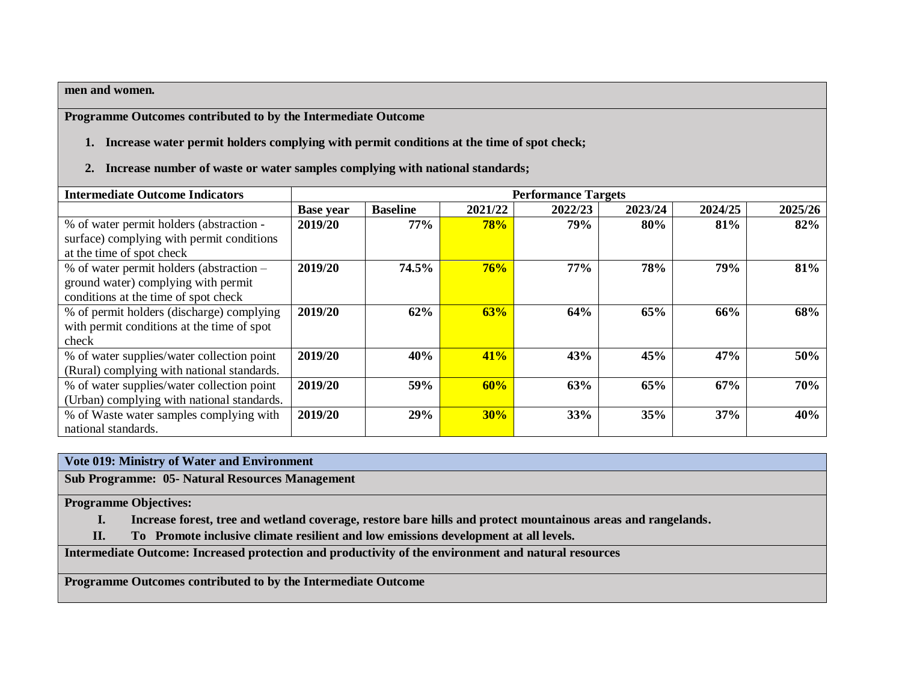#### **men and women.**

**Programme Outcomes contributed to by the Intermediate Outcome**

- **1. Increase water permit holders complying with permit conditions at the time of spot check;**
- **2. Increase number of waste or water samples complying with national standards;**

| <b>Intermediate Outcome Indicators</b>     |                  | <b>Performance Targets</b> |            |            |         |         |         |  |  |  |
|--------------------------------------------|------------------|----------------------------|------------|------------|---------|---------|---------|--|--|--|
|                                            | <b>Base year</b> | <b>Baseline</b>            | 2021/22    | 2022/23    | 2023/24 | 2024/25 | 2025/26 |  |  |  |
| % of water permit holders (abstraction -   | 2019/20          | 77%                        | <b>78%</b> | 79%        | 80%     | 81%     | 82%     |  |  |  |
| surface) complying with permit conditions  |                  |                            |            |            |         |         |         |  |  |  |
| at the time of spot check                  |                  |                            |            |            |         |         |         |  |  |  |
| % of water permit holders (abstraction –   | 2019/20          | 74.5%                      | 76%        | <b>77%</b> | 78%     | 79%     | 81%     |  |  |  |
| ground water) complying with permit        |                  |                            |            |            |         |         |         |  |  |  |
| conditions at the time of spot check       |                  |                            |            |            |         |         |         |  |  |  |
| % of permit holders (discharge) complying  | 2019/20          | 62%                        | 63%        | 64%        | 65%     | 66%     | 68%     |  |  |  |
| with permit conditions at the time of spot |                  |                            |            |            |         |         |         |  |  |  |
| check                                      |                  |                            |            |            |         |         |         |  |  |  |
| % of water supplies/water collection point | 2019/20          | 40%                        | 41%        | 43%        | 45%     | 47%     | 50%     |  |  |  |
| (Rural) complying with national standards. |                  |                            |            |            |         |         |         |  |  |  |
| % of water supplies/water collection point | 2019/20          | 59%                        | 60%        | 63%        | 65%     | 67%     | 70%     |  |  |  |
| (Urban) complying with national standards. |                  |                            |            |            |         |         |         |  |  |  |
| % of Waste water samples complying with    | 2019/20          | 29%                        | 30%        | 33%        | 35%     | 37%     | 40%     |  |  |  |
| national standards.                        |                  |                            |            |            |         |         |         |  |  |  |

#### **Vote 019: Ministry of Water and Environment**

**Sub Programme: 05- Natural Resources Management**

**Programme Objectives:** 

- **I. Increase forest, tree and wetland coverage, restore bare hills and protect mountainous areas and rangelands.**
- **II. To Promote inclusive climate resilient and low emissions development at all levels.**

**Intermediate Outcome: Increased protection and productivity of the environment and natural resources**

**Programme Outcomes contributed to by the Intermediate Outcome**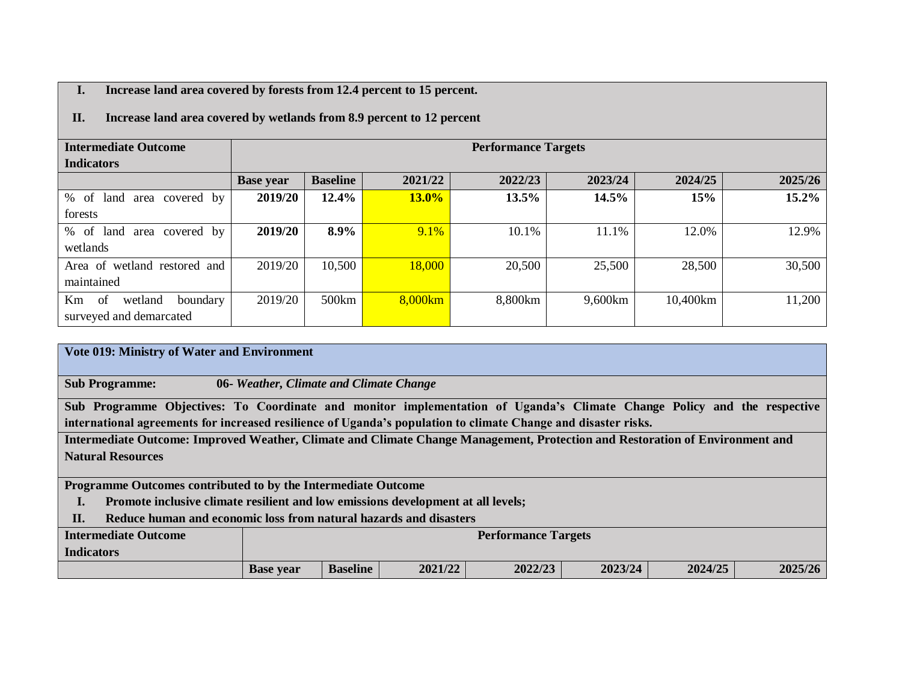### **I. Increase land area covered by forests from 12.4 percent to 15 percent.**

### **II. Increase land area covered by wetlands from 8.9 percent to 12 percent**

| <b>Intermediate Outcome</b>                         |                  |                 |          | <b>Performance Targets</b> |         |          |         |  |  |  |  |  |  |
|-----------------------------------------------------|------------------|-----------------|----------|----------------------------|---------|----------|---------|--|--|--|--|--|--|
| <b>Indicators</b>                                   |                  |                 |          |                            |         |          |         |  |  |  |  |  |  |
|                                                     | <b>Base year</b> | <b>Baseline</b> | 2021/22  | 2022/23                    | 2023/24 | 2024/25  | 2025/26 |  |  |  |  |  |  |
| %<br>covered by<br>-of<br>land<br>area              | 2019/20          | 12.4%           | $13.0\%$ | 13.5%                      | 14.5%   | 15%      | 15.2%   |  |  |  |  |  |  |
| forests                                             |                  |                 |          |                            |         |          |         |  |  |  |  |  |  |
| $\%$<br><sub>of</sub><br>covered by<br>land<br>area | 2019/20          | 8.9%            | 9.1%     | 10.1%                      | 11.1%   | 12.0%    | 12.9%   |  |  |  |  |  |  |
| wetlands                                            |                  |                 |          |                            |         |          |         |  |  |  |  |  |  |
| Area of<br>wetland restored and                     | 2019/20          | 10,500          | 18,000   | 20,500                     | 25,500  | 28,500   | 30,500  |  |  |  |  |  |  |
| maintained                                          |                  |                 |          |                            |         |          |         |  |  |  |  |  |  |
| Km<br>-of<br>wetland<br>boundary                    | 2019/20          | 500km           | 8,000km  | 8,800km                    | 9,600km | 10,400km | 11,200  |  |  |  |  |  |  |
| surveyed and demarcated                             |                  |                 |          |                            |         |          |         |  |  |  |  |  |  |

# **Vote 019: Ministry of Water and Environment Sub Programme: 06-** *Weather, Climate and Climate Change* **Sub Programme Objectives: To Coordinate and monitor implementation of Uganda's Climate Change Policy and the respective international agreements for increased resilience of Uganda's population to climate Change and disaster risks. Intermediate Outcome: Improved Weather, Climate and Climate Change Management, Protection and Restoration of Environment and Natural Resources Programme Outcomes contributed to by the Intermediate Outcome I. Promote inclusive climate resilient and low emissions development at all levels; II. Reduce human and economic loss from natural hazards and disasters Intermediate Outcome Indicators Performance Targets Base year Baseline 2021/22 2022/23 2023/24 2024/25 2025/26**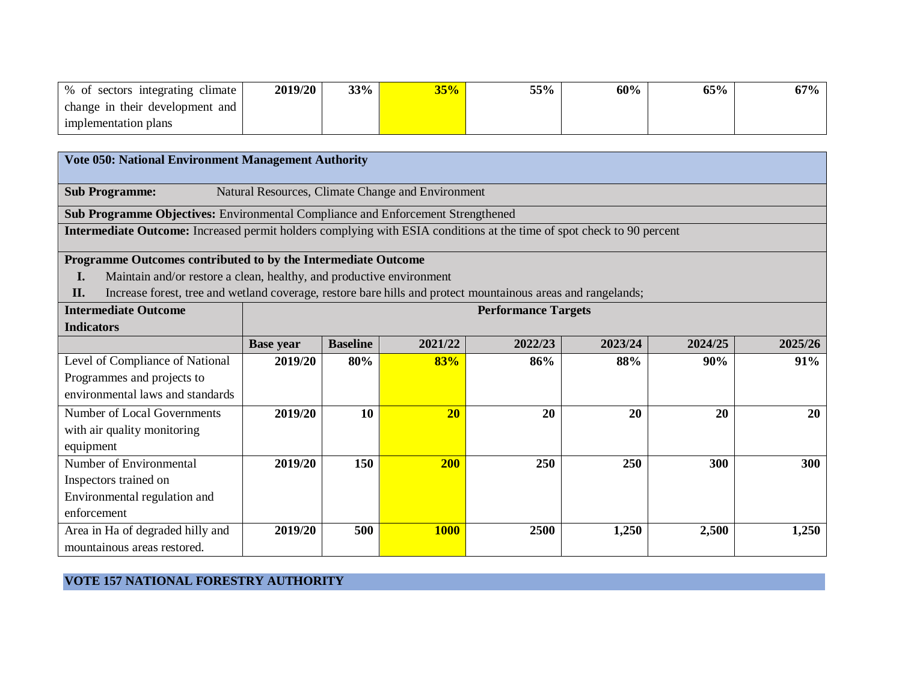| % of sectors integrating climate | 2019/20 | 33% | 35% | 55% | 60% | 65% | 67% |
|----------------------------------|---------|-----|-----|-----|-----|-----|-----|
| change in their development and  |         |     |     |     |     |     |     |
| implementation plans             |         |     |     |     |     |     |     |

| <b>Vote 050: National Environment Management Authority</b>                                                            |                  |                                                                        |                                                   |      |       |       |       |  |  |  |  |  |
|-----------------------------------------------------------------------------------------------------------------------|------------------|------------------------------------------------------------------------|---------------------------------------------------|------|-------|-------|-------|--|--|--|--|--|
| <b>Sub Programme:</b>                                                                                                 |                  |                                                                        | Natural Resources, Climate Change and Environment |      |       |       |       |  |  |  |  |  |
| Sub Programme Objectives: Environmental Compliance and Enforcement Strengthened                                       |                  |                                                                        |                                                   |      |       |       |       |  |  |  |  |  |
| Intermediate Outcome: Increased permit holders complying with ESIA conditions at the time of spot check to 90 percent |                  |                                                                        |                                                   |      |       |       |       |  |  |  |  |  |
| Programme Outcomes contributed to by the Intermediate Outcome                                                         |                  |                                                                        |                                                   |      |       |       |       |  |  |  |  |  |
| Maintain and/or restore a clean, healthy, and productive environment<br>I.                                            |                  |                                                                        |                                                   |      |       |       |       |  |  |  |  |  |
| Increase forest, tree and wetland coverage, restore bare hills and protect mountainous areas and rangelands;<br>II.   |                  |                                                                        |                                                   |      |       |       |       |  |  |  |  |  |
| <b>Intermediate Outcome</b>                                                                                           |                  | <b>Performance Targets</b>                                             |                                                   |      |       |       |       |  |  |  |  |  |
| <b>Indicators</b>                                                                                                     |                  |                                                                        |                                                   |      |       |       |       |  |  |  |  |  |
|                                                                                                                       | <b>Base year</b> | <b>Baseline</b><br>2023/24<br>2024/25<br>2021/22<br>2022/23<br>2025/26 |                                                   |      |       |       |       |  |  |  |  |  |
| Level of Compliance of National                                                                                       | 2019/20          | 80%                                                                    | 83%                                               | 86%  | 88%   | 90%   | 91%   |  |  |  |  |  |
| Programmes and projects to                                                                                            |                  |                                                                        |                                                   |      |       |       |       |  |  |  |  |  |
| environmental laws and standards                                                                                      |                  |                                                                        |                                                   |      |       |       |       |  |  |  |  |  |
| Number of Local Governments                                                                                           | 2019/20          | 10                                                                     | 20                                                | 20   | 20    | 20    | 20    |  |  |  |  |  |
| with air quality monitoring                                                                                           |                  |                                                                        |                                                   |      |       |       |       |  |  |  |  |  |
| equipment                                                                                                             |                  |                                                                        |                                                   |      |       |       |       |  |  |  |  |  |
| Number of Environmental                                                                                               | 2019/20          | 150                                                                    | 200                                               | 250  | 250   | 300   | 300   |  |  |  |  |  |
| Inspectors trained on                                                                                                 |                  |                                                                        |                                                   |      |       |       |       |  |  |  |  |  |
| Environmental regulation and                                                                                          |                  |                                                                        |                                                   |      |       |       |       |  |  |  |  |  |
| enforcement                                                                                                           |                  |                                                                        |                                                   |      |       |       |       |  |  |  |  |  |
| Area in Ha of degraded hilly and                                                                                      | 2019/20          | 500                                                                    | <b>1000</b>                                       | 2500 | 1,250 | 2,500 | 1,250 |  |  |  |  |  |
| mountainous areas restored.                                                                                           |                  |                                                                        |                                                   |      |       |       |       |  |  |  |  |  |

## **VOTE 157 NATIONAL FORESTRY AUTHORITY**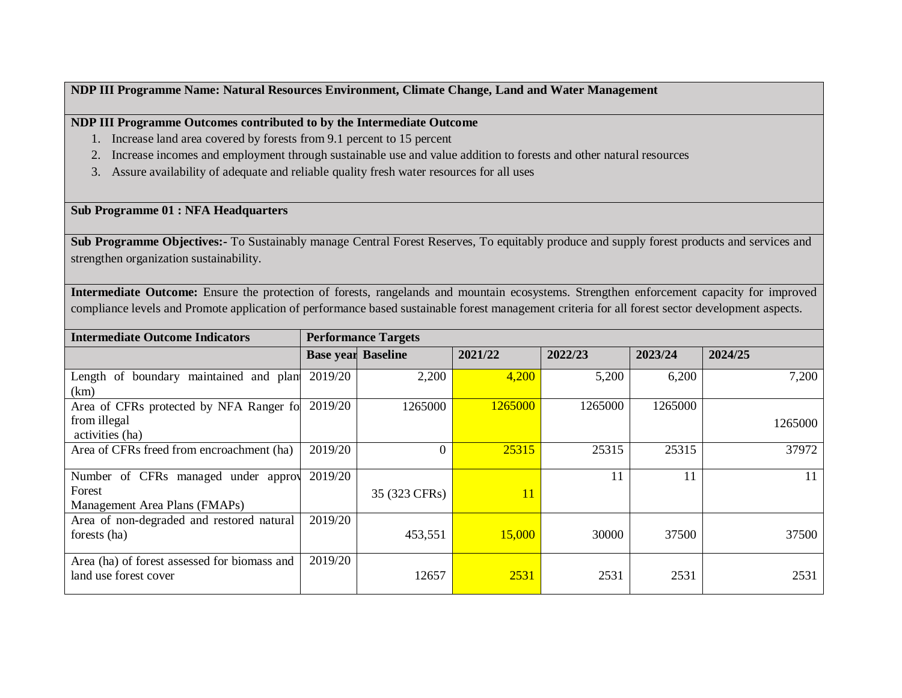### **NDP III Programme Name: Natural Resources Environment, Climate Change, Land and Water Management**

### **NDP III Programme Outcomes contributed to by the Intermediate Outcome**

- 1. Increase land area covered by forests from 9.1 percent to 15 percent
- 2. Increase incomes and employment through sustainable use and value addition to forests and other natural resources
- 3. Assure availability of adequate and reliable quality fresh water resources for all uses

#### **Sub Programme 01 : NFA Headquarters**

**Sub Programme Objectives:-** To Sustainably manage Central Forest Reserves, To equitably produce and supply forest products and services and strengthen organization sustainability.

**Intermediate Outcome:** Ensure the protection of forests, rangelands and mountain ecosystems. Strengthen enforcement capacity for improved compliance levels and Promote application of performance based sustainable forest management criteria for all forest sector development aspects.

| <b>Intermediate Outcome Indicators</b>                                |         | <b>Performance Targets</b> |         |         |         |         |
|-----------------------------------------------------------------------|---------|----------------------------|---------|---------|---------|---------|
|                                                                       |         | <b>Base year Baseline</b>  | 2021/22 | 2022/23 | 2023/24 | 2024/25 |
| Length of boundary maintained and plan                                | 2019/20 | 2,200                      | 4,200   | 5,200   | 6,200   | 7,200   |
| (km)                                                                  |         |                            |         |         |         |         |
| Area of CFRs protected by NFA Ranger fo                               | 2019/20 | 1265000                    | 1265000 | 1265000 | 1265000 |         |
| from illegal                                                          |         |                            |         |         |         | 1265000 |
| activities (ha)                                                       |         |                            |         |         |         |         |
| Area of CFRs freed from encroachment (ha)                             | 2019/20 | 0                          | 25315   | 25315   | 25315   | 37972   |
|                                                                       |         |                            |         |         |         |         |
| Number of CFRs managed under approv                                   | 2019/20 |                            |         | 11      | 11      |         |
| Forest                                                                |         | 35 (323 CFRs)              | 11      |         |         |         |
| Management Area Plans (FMAPs)                                         |         |                            |         |         |         |         |
| Area of non-degraded and restored natural                             | 2019/20 |                            |         |         |         |         |
| forests (ha)                                                          |         | 453,551                    | 15,000  | 30000   | 37500   | 37500   |
|                                                                       | 2019/20 |                            |         |         |         |         |
| Area (ha) of forest assessed for biomass and<br>land use forest cover |         | 12657                      | 2531    | 2531    | 2531    | 2531    |
|                                                                       |         |                            |         |         |         |         |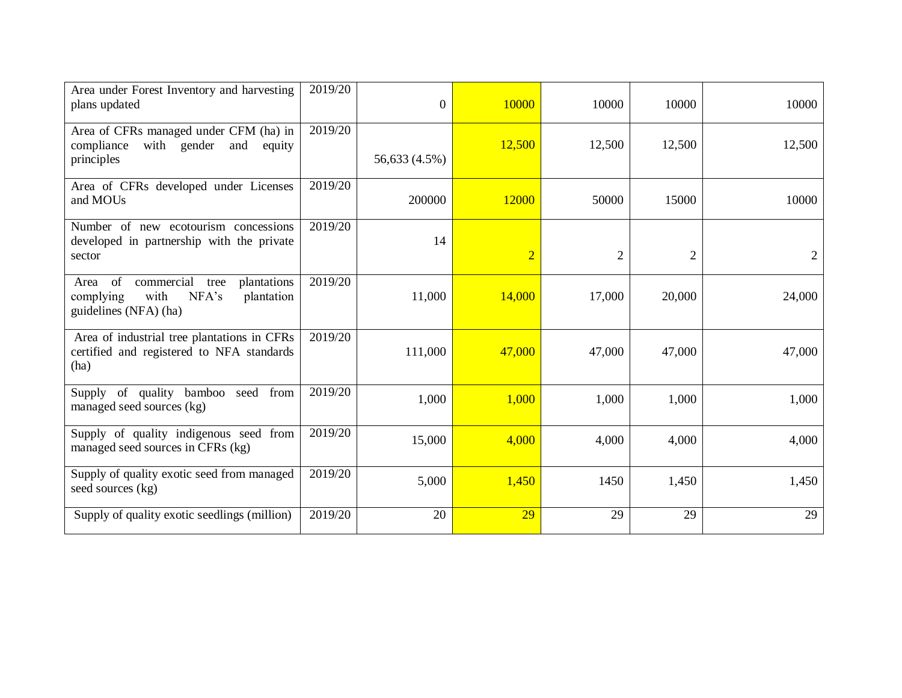| Area under Forest Inventory and harvesting<br>plans updated                                                       | 2019/20 | $\overline{0}$ | 10000          | 10000          | 10000          | 10000  |
|-------------------------------------------------------------------------------------------------------------------|---------|----------------|----------------|----------------|----------------|--------|
| Area of CFRs managed under CFM (ha) in<br>with gender<br>compliance<br>and<br>equity<br>principles                | 2019/20 | 56,633 (4.5%)  | 12,500         | 12,500         | 12,500         | 12,500 |
| Area of CFRs developed under Licenses<br>and MOUs                                                                 | 2019/20 | 200000         | 12000          | 50000          | 15000          | 10000  |
| Number of new ecotourism concessions<br>developed in partnership with the private<br>sector                       | 2019/20 | 14             | $\overline{2}$ | $\overline{2}$ | $\overline{2}$ |        |
| commercial<br>Area of<br>plantations<br>tree<br>complying<br>with<br>NFA's<br>plantation<br>guidelines (NFA) (ha) | 2019/20 | 11,000         | 14,000         | 17,000         | 20,000         | 24,000 |
| Area of industrial tree plantations in CFRs<br>certified and registered to NFA standards<br>(ha)                  | 2019/20 | 111,000        | 47,000         | 47,000         | 47,000         | 47,000 |
| Supply of quality bamboo seed from<br>managed seed sources (kg)                                                   | 2019/20 | 1,000          | 1,000          | 1,000          | 1,000          | 1,000  |
| Supply of quality indigenous seed from<br>managed seed sources in CFRs (kg)                                       | 2019/20 | 15,000         | 4,000          | 4,000          | 4,000          | 4,000  |
| Supply of quality exotic seed from managed<br>seed sources (kg)                                                   | 2019/20 | 5,000          | 1,450          | 1450           | 1,450          | 1,450  |
| Supply of quality exotic seedlings (million)                                                                      | 2019/20 | 20             | 29             | 29             | 29             | 29     |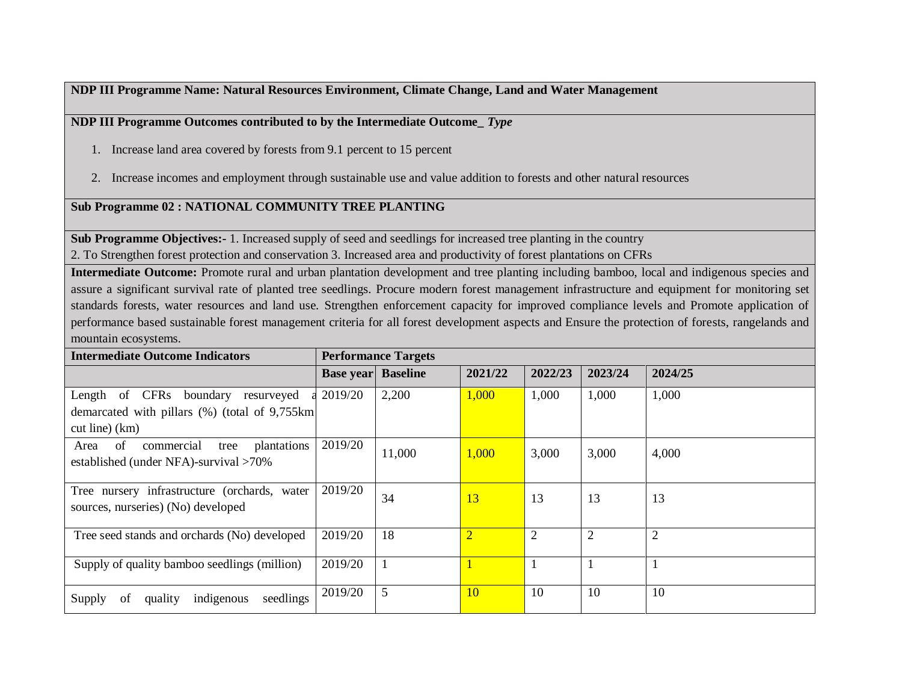**NDP III Programme Name: Natural Resources Environment, Climate Change, Land and Water Management**

**NDP III Programme Outcomes contributed to by the Intermediate Outcome\_** *Type*

- 1. Increase land area covered by forests from 9.1 percent to 15 percent
- 2. Increase incomes and employment through sustainable use and value addition to forests and other natural resources

## **Sub Programme 02 : NATIONAL COMMUNITY TREE PLANTING**

**Sub Programme Objectives:-** 1. Increased supply of seed and seedlings for increased tree planting in the country

2. To Strengthen forest protection and conservation 3. Increased area and productivity of forest plantations on CFRs

**Intermediate Outcome:** Promote rural and urban plantation development and tree planting including bamboo, local and indigenous species and assure a significant survival rate of planted tree seedlings. Procure modern forest management infrastructure and equipment for monitoring set standards forests, water resources and land use. Strengthen enforcement capacity for improved compliance levels and Promote application of performance based sustainable forest management criteria for all forest development aspects and Ensure the protection of forests, rangelands and mountain ecosystems.

| <b>Intermediate Outcome Indicators</b>                                                                     |                           | <b>Performance Targets</b> |                |                |                |                |
|------------------------------------------------------------------------------------------------------------|---------------------------|----------------------------|----------------|----------------|----------------|----------------|
|                                                                                                            | <b>Base year</b> Baseline |                            | 2021/22        | 2022/23        | 2023/24        | 2024/25        |
| Length of CFRs boundary<br>resurveyed<br>demarcated with pillars (%) (total of 9,755km<br>$cut line)$ (km) | 2019/20                   | 2,200                      | 1,000          | 1,000          | 1,000          | 1,000          |
| commercial<br>plantations<br>of<br>Area<br>tree<br>established (under NFA)-survival >70%                   | 2019/20                   | 11,000                     | 1,000          | 3,000          | 3,000          | 4,000          |
| Tree nursery infrastructure (orchards, water<br>sources, nurseries) (No) developed                         | 2019/20                   | 34                         | 13             | 13             | 13             | 13             |
| Tree seed stands and orchards (No) developed                                                               | 2019/20                   | 18                         | $\overline{2}$ | $\overline{2}$ | $\overline{2}$ | $\overline{2}$ |
| Supply of quality bamboo seedlings (million)                                                               | 2019/20                   |                            |                |                |                | $\mathbf{1}$   |
| seedlings<br>indigenous<br>Supply<br>quality<br>of                                                         | 2019/20                   | 5                          | 10             | 10             | 10             | 10             |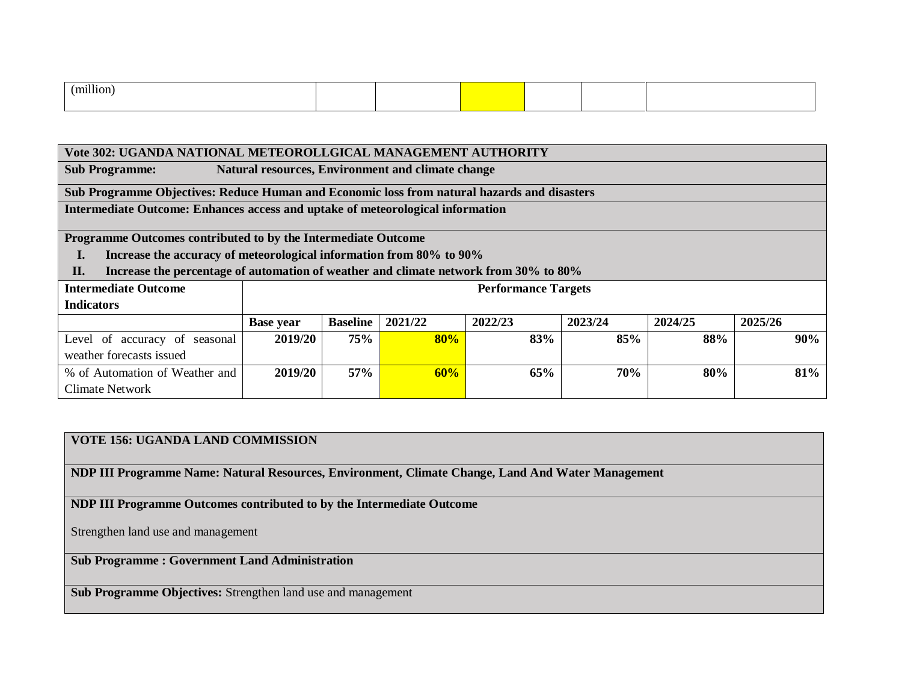| <br>mil<br>l10r |  |  |  |
|-----------------|--|--|--|
|                 |  |  |  |

| Vote 302: UGANDA NATIONAL METEOROLLGICAL MANAGEMENT AUTHORITY                               |                  |                 |         |                            |         |         |         |  |  |  |
|---------------------------------------------------------------------------------------------|------------------|-----------------|---------|----------------------------|---------|---------|---------|--|--|--|
| Natural resources, Environment and climate change<br><b>Sub Programme:</b>                  |                  |                 |         |                            |         |         |         |  |  |  |
| Sub Programme Objectives: Reduce Human and Economic loss from natural hazards and disasters |                  |                 |         |                            |         |         |         |  |  |  |
| <b>Intermediate Outcome: Enhances access and uptake of meteorological information</b>       |                  |                 |         |                            |         |         |         |  |  |  |
|                                                                                             |                  |                 |         |                            |         |         |         |  |  |  |
| Programme Outcomes contributed to by the Intermediate Outcome                               |                  |                 |         |                            |         |         |         |  |  |  |
| Increase the accuracy of meteorological information from 80% to 90%                         |                  |                 |         |                            |         |         |         |  |  |  |
| Increase the percentage of automation of weather and climate network from 30% to 80%<br>II. |                  |                 |         |                            |         |         |         |  |  |  |
| <b>Intermediate Outcome</b>                                                                 |                  |                 |         | <b>Performance Targets</b> |         |         |         |  |  |  |
| <b>Indicators</b>                                                                           |                  |                 |         |                            |         |         |         |  |  |  |
|                                                                                             | <b>Base year</b> | <b>Baseline</b> | 2021/22 | 2022/23                    | 2023/24 | 2024/25 | 2025/26 |  |  |  |
| Level of accuracy of seasonal                                                               | 2019/20          | 75%             | 80%     | 83%                        | 85%     | 88%     | 90%     |  |  |  |
| weather forecasts issued                                                                    |                  |                 |         |                            |         |         |         |  |  |  |
| % of Automation of Weather and                                                              | 2019/20          | 57%             | 60%     | 65%                        | 70%     | 80%     | 81%     |  |  |  |
| Climate Network                                                                             |                  |                 |         |                            |         |         |         |  |  |  |

## **VOTE 156: UGANDA LAND COMMISSION**

**NDP III Programme Name: Natural Resources, Environment, Climate Change, Land And Water Management**

**NDP III Programme Outcomes contributed to by the Intermediate Outcome**

Strengthen land use and management

**Sub Programme : Government Land Administration**

**Sub Programme Objectives:** Strengthen land use and management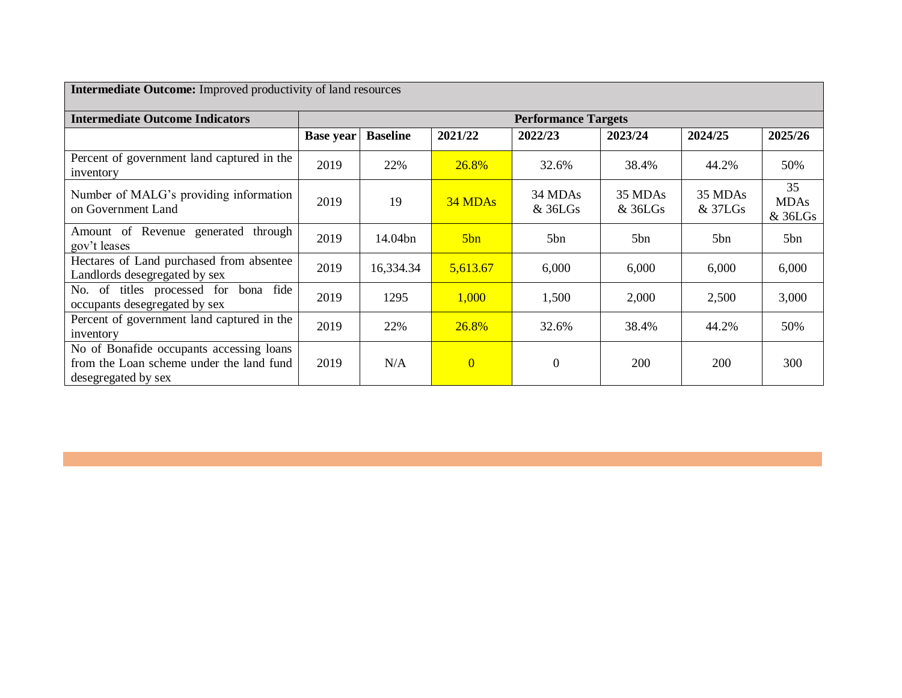| <b>Intermediate Outcome:</b> Improved productivity of land resources                                        |                  |                 |                |                            |                    |                      |                              |  |
|-------------------------------------------------------------------------------------------------------------|------------------|-----------------|----------------|----------------------------|--------------------|----------------------|------------------------------|--|
| <b>Intermediate Outcome Indicators</b>                                                                      |                  |                 |                | <b>Performance Targets</b> |                    |                      |                              |  |
|                                                                                                             | <b>Base year</b> | <b>Baseline</b> | 2021/22        | 2022/23                    | 2023/24            | 2024/25              | 2025/26                      |  |
| Percent of government land captured in the<br>inventory                                                     | 2019             | 22%             | 26.8%          | 32.6%                      | 38.4%              | 44.2%                | 50%                          |  |
| Number of MALG's providing information<br>on Government Land                                                | 2019             | 19              | 34 MDAs        | 34 MDAs<br>& 36LGs         | 35 MDAs<br>& 36LGs | 35 MDAs<br>$&$ 37LGs | 35<br><b>MDAs</b><br>& 36LGs |  |
| Amount of Revenue generated through<br>gov't leases                                                         | 2019             | 14.04bn         | 5bn            | 5bn                        | 5b <sub>n</sub>    | 5b <sub>n</sub>      | 5bn                          |  |
| Hectares of Land purchased from absentee<br>Landlords desegregated by sex                                   | 2019             | 16,334.34       | 5,613.67       | 6,000                      | 6,000              | 6,000                | 6,000                        |  |
| No. of titles processed for bona fide<br>occupants desegregated by sex                                      | 2019             | 1295            | 1,000          | 1,500                      | 2,000              | 2,500                | 3,000                        |  |
| Percent of government land captured in the<br>inventory                                                     | 2019             | 22%             | 26.8%          | 32.6%                      | 38.4%              | 44.2%                | 50%                          |  |
| No of Bonafide occupants accessing loans<br>from the Loan scheme under the land fund<br>desegregated by sex | 2019             | N/A             | $\overline{0}$ | $\boldsymbol{0}$           | 200                | 200                  | 300                          |  |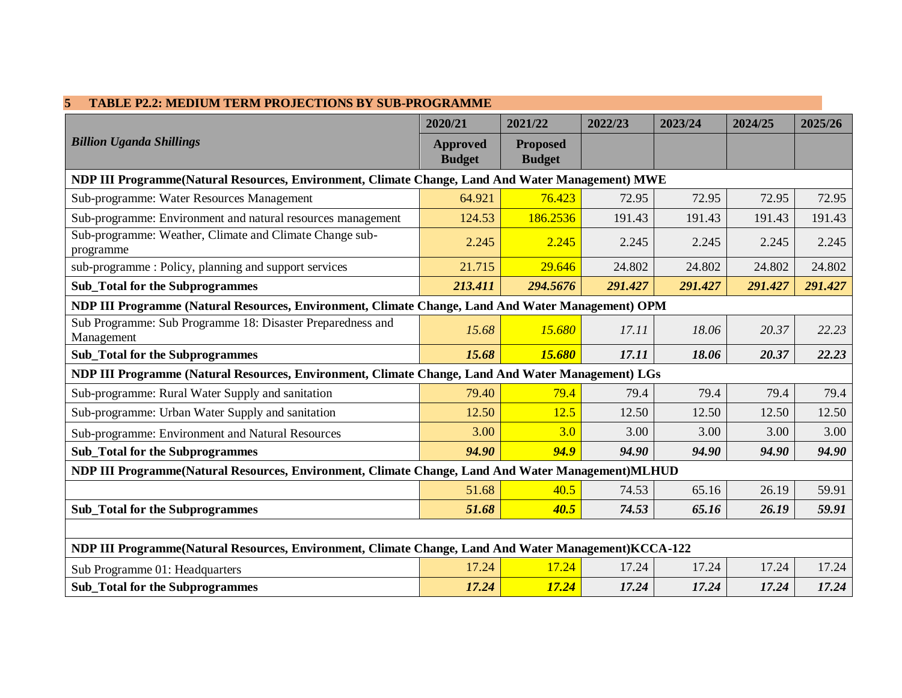| <b>TABLE P2.2: MEDIUM TERM PROJECTIONS BY SUB-PROGRAMME</b><br>5                                     |                                  |                                  |         |         |         |         |
|------------------------------------------------------------------------------------------------------|----------------------------------|----------------------------------|---------|---------|---------|---------|
|                                                                                                      | 2020/21                          | 2021/22                          | 2022/23 | 2023/24 | 2024/25 | 2025/26 |
| <b>Billion Uganda Shillings</b>                                                                      | <b>Approved</b><br><b>Budget</b> | <b>Proposed</b><br><b>Budget</b> |         |         |         |         |
| NDP III Programme(Natural Resources, Environment, Climate Change, Land And Water Management) MWE     |                                  |                                  |         |         |         |         |
| Sub-programme: Water Resources Management                                                            | 64.921                           | 76.423                           | 72.95   | 72.95   | 72.95   | 72.95   |
| Sub-programme: Environment and natural resources management                                          | 124.53                           | 186.2536                         | 191.43  | 191.43  | 191.43  | 191.43  |
| Sub-programme: Weather, Climate and Climate Change sub-<br>programme                                 | 2.245                            | 2.245                            | 2.245   | 2.245   | 2.245   | 2.245   |
| sub-programme: Policy, planning and support services                                                 | 21.715                           | 29.646                           | 24.802  | 24.802  | 24.802  | 24.802  |
| <b>Sub_Total for the Subprogrammes</b>                                                               | 213.411                          | 294.5676                         | 291.427 | 291.427 | 291.427 | 291.427 |
| NDP III Programme (Natural Resources, Environment, Climate Change, Land And Water Management) OPM    |                                  |                                  |         |         |         |         |
| Sub Programme: Sub Programme 18: Disaster Preparedness and<br>Management                             | 15.68                            | 15.680                           | 17.11   | 18.06   | 20.37   | 22.23   |
| <b>Sub_Total for the Subprogrammes</b>                                                               | 15.68                            | 15.680                           | 17.11   | 18.06   | 20.37   | 22.23   |
| NDP III Programme (Natural Resources, Environment, Climate Change, Land And Water Management) LGs    |                                  |                                  |         |         |         |         |
| Sub-programme: Rural Water Supply and sanitation                                                     | 79.40                            | 79.4                             | 79.4    | 79.4    | 79.4    | 79.4    |
| Sub-programme: Urban Water Supply and sanitation                                                     | 12.50                            | 12.5                             | 12.50   | 12.50   | 12.50   | 12.50   |
| Sub-programme: Environment and Natural Resources                                                     | 3.00                             | 3.0                              | 3.00    | 3.00    | 3.00    | 3.00    |
| <b>Sub_Total for the Subprogrammes</b>                                                               | 94.90                            | 94.9                             | 94.90   | 94.90   | 94.90   | 94.90   |
| NDP III Programme(Natural Resources, Environment, Climate Change, Land And Water Management)MLHUD    |                                  |                                  |         |         |         |         |
|                                                                                                      | 51.68                            | 40.5                             | 74.53   | 65.16   | 26.19   | 59.91   |
| <b>Sub_Total for the Subprogrammes</b>                                                               | 51.68                            | 40.5                             | 74.53   | 65.16   | 26.19   | 59.91   |
|                                                                                                      |                                  |                                  |         |         |         |         |
| NDP III Programme(Natural Resources, Environment, Climate Change, Land And Water Management)KCCA-122 |                                  |                                  |         |         |         |         |
| Sub Programme 01: Headquarters                                                                       | 17.24                            | 17.24                            | 17.24   | 17.24   | 17.24   | 17.24   |
| <b>Sub_Total for the Subprogrammes</b>                                                               | 17.24                            | 17.24                            | 17.24   | 17.24   | 17.24   | 17.24   |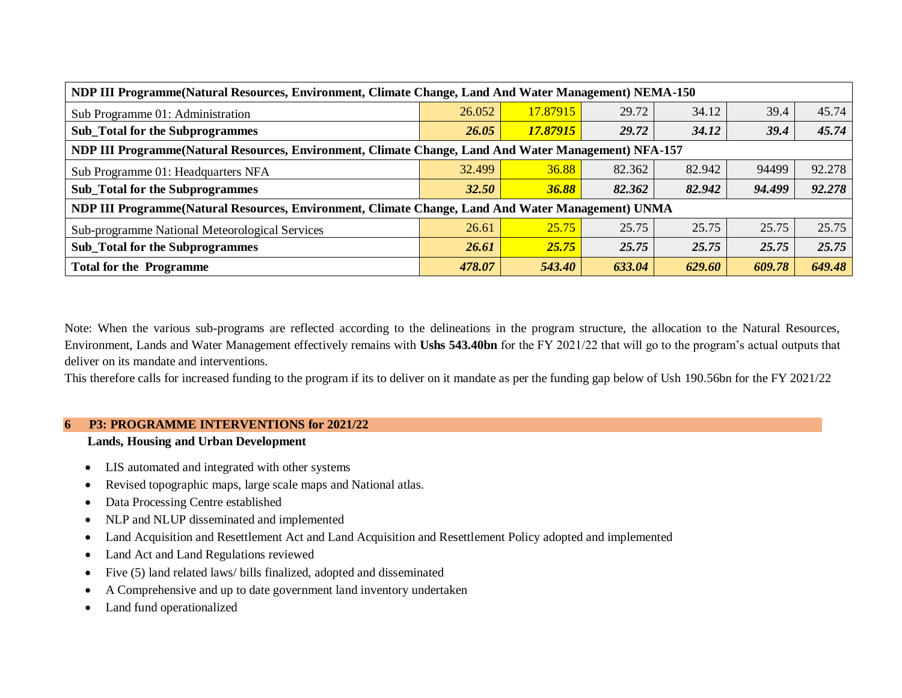| NDP III Programme (Natural Resources, Environment, Climate Change, Land And Water Management) NEMA-150 |              |          |        |        |        |        |  |
|--------------------------------------------------------------------------------------------------------|--------------|----------|--------|--------|--------|--------|--|
| Sub Programme 01: Administration                                                                       | 26.052       | 17.87915 | 29.72  | 34.12  | 39.4   | 45.74  |  |
| <b>Sub_Total for the Subprogrammes</b>                                                                 | 26.05        | 17.87915 | 29.72  | 34.12  | 39.4   | 45.74  |  |
| NDP III Programme(Natural Resources, Environment, Climate Change, Land And Water Management) NFA-157   |              |          |        |        |        |        |  |
| Sub Programme 01: Headquarters NFA                                                                     | 32.499       | 36.88    | 82.362 | 82.942 | 94499  | 92.278 |  |
| <b>Sub_Total for the Subprogrammes</b>                                                                 | <b>32.50</b> | 36.88    | 82.362 | 82.942 | 94.499 | 92.278 |  |
| NDP III Programme(Natural Resources, Environment, Climate Change, Land And Water Management) UNMA      |              |          |        |        |        |        |  |
| Sub-programme National Meteorological Services                                                         | 26.61        | 25.75    | 25.75  | 25.75  | 25.75  | 25.75  |  |
| <b>Sub_Total for the Subprogrammes</b>                                                                 | 26.61        | 25.75    | 25.75  | 25.75  | 25.75  | 25.75  |  |
| <b>Total for the Programme</b>                                                                         | 478.07       | 543.40   | 633.04 | 629.60 | 609.78 | 649.48 |  |

Note: When the various sub-programs are reflected according to the delineations in the program structure, the allocation to the Natural Resources, Environment, Lands and Water Management effectively remains with **Ushs 543.40bn** for the FY 2021/22 that will go to the program's actual outputs that deliver on its mandate and interventions.

This therefore calls for increased funding to the program if its to deliver on it mandate as per the funding gap below of Ush 190.56bn for the FY 2021/22

#### **6 P3: PROGRAMME INTERVENTIONS for 2021/22**

### **Lands, Housing and Urban Development**

- LIS automated and integrated with other systems
- Revised topographic maps, large scale maps and National atlas.
- Data Processing Centre established
- NLP and NLUP disseminated and implemented
- Land Acquisition and Resettlement Act and Land Acquisition and Resettlement Policy adopted and implemented
- Land Act and Land Regulations reviewed
- Five (5) land related laws/ bills finalized, adopted and disseminated
- A Comprehensive and up to date government land inventory undertaken
- Land fund operationalized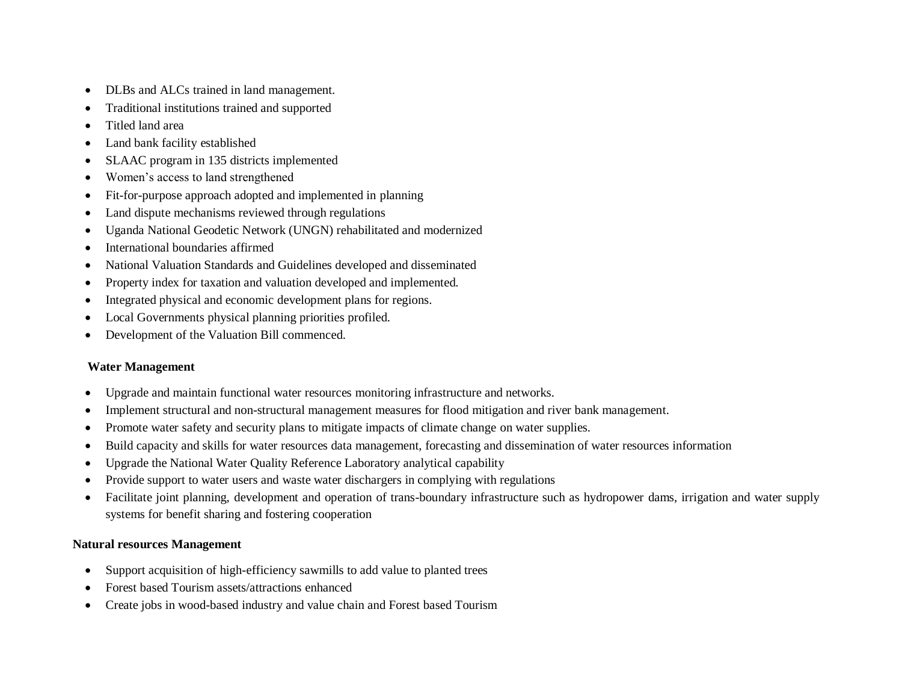- DLBs and ALCs trained in land management.
- Traditional institutions trained and supported
- Titled land area
- Land bank facility established
- SLAAC program in 135 districts implemented
- Women's access to land strengthened
- Fit-for-purpose approach adopted and implemented in planning
- Land dispute mechanisms reviewed through regulations
- Uganda National Geodetic Network (UNGN) rehabilitated and modernized
- International boundaries affirmed
- National Valuation Standards and Guidelines developed and disseminated
- Property index for taxation and valuation developed and implemented.
- Integrated physical and economic development plans for regions.
- Local Governments physical planning priorities profiled.
- Development of the Valuation Bill commenced.

## **Water Management**

- Upgrade and maintain functional water resources monitoring infrastructure and networks.
- Implement structural and non-structural management measures for flood mitigation and river bank management.
- Promote water safety and security plans to mitigate impacts of climate change on water supplies.
- Build capacity and skills for water resources data management, forecasting and dissemination of water resources information
- Upgrade the National Water Quality Reference Laboratory analytical capability
- Provide support to water users and waste water dischargers in complying with regulations
- Facilitate joint planning, development and operation of trans-boundary infrastructure such as hydropower dams, irrigation and water supply systems for benefit sharing and fostering cooperation

## **Natural resources Management**

- Support acquisition of high-efficiency sawmills to add value to planted trees
- Forest based Tourism assets/attractions enhanced
- Create jobs in wood-based industry and value chain and Forest based Tourism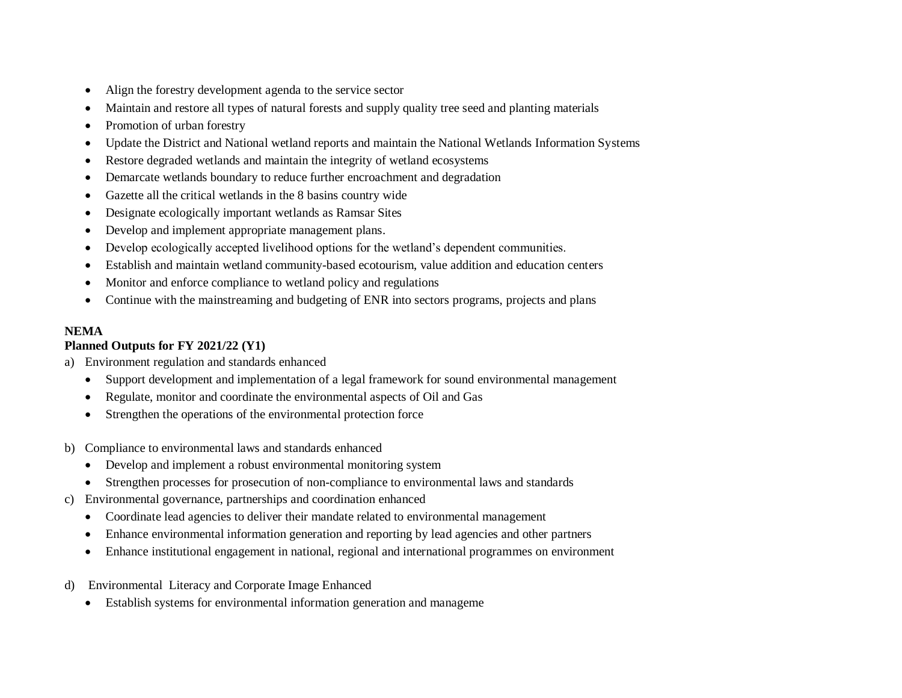- Align the forestry development agenda to the service sector
- Maintain and restore all types of natural forests and supply quality tree seed and planting materials
- Promotion of urban forestry
- Update the District and National wetland reports and maintain the National Wetlands Information Systems
- Restore degraded wetlands and maintain the integrity of wetland ecosystems
- Demarcate wetlands boundary to reduce further encroachment and degradation
- Gazette all the critical wetlands in the 8 basins country wide
- Designate ecologically important wetlands as Ramsar Sites
- Develop and implement appropriate management plans.
- Develop ecologically accepted livelihood options for the wetland's dependent communities.
- Establish and maintain wetland community-based ecotourism, value addition and education centers
- Monitor and enforce compliance to wetland policy and regulations
- Continue with the mainstreaming and budgeting of ENR into sectors programs, projects and plans

## **NEMA**

## **Planned Outputs for FY 2021/22 (Y1)**

- a) Environment regulation and standards enhanced
	- Support development and implementation of a legal framework for sound environmental management
	- Regulate, monitor and coordinate the environmental aspects of Oil and Gas
	- Strengthen the operations of the environmental protection force
- b) Compliance to environmental laws and standards enhanced
	- Develop and implement a robust environmental monitoring system
	- Strengthen processes for prosecution of non-compliance to environmental laws and standards
- c) Environmental governance, partnerships and coordination enhanced
	- Coordinate lead agencies to deliver their mandate related to environmental management
	- Enhance environmental information generation and reporting by lead agencies and other partners
	- Enhance institutional engagement in national, regional and international programmes on environment
- d) Environmental Literacy and Corporate Image Enhanced
	- Establish systems for environmental information generation and manageme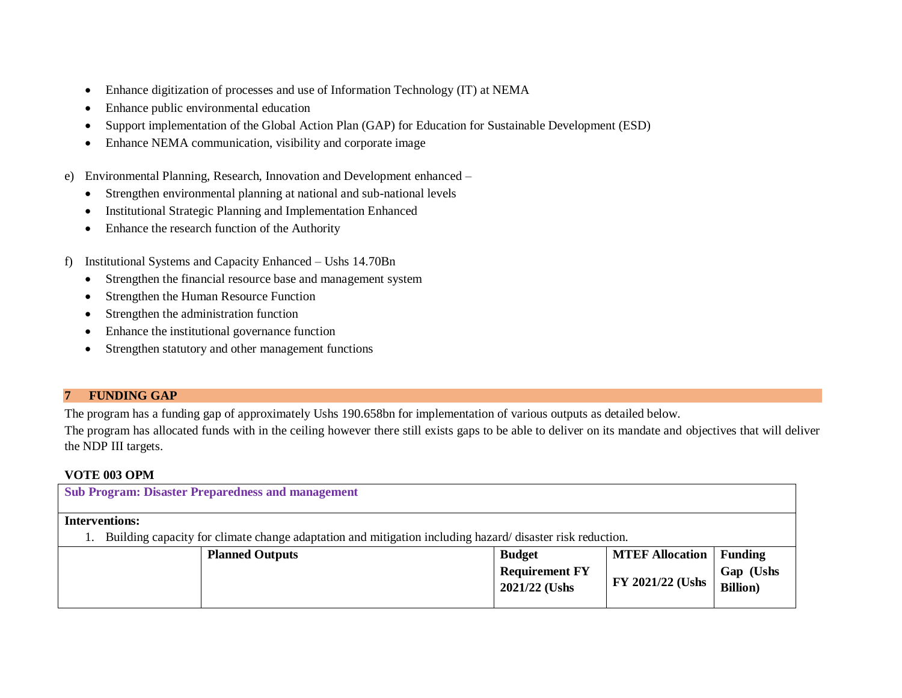- Enhance digitization of processes and use of Information Technology (IT) at NEMA
- Enhance public environmental education
- Support implementation of the Global Action Plan (GAP) for Education for Sustainable Development (ESD)
- Enhance NEMA communication, visibility and corporate image
- e) Environmental Planning, Research, Innovation and Development enhanced
	- Strengthen environmental planning at national and sub-national levels
	- Institutional Strategic Planning and Implementation Enhanced
	- Enhance the research function of the Authority
- f) Institutional Systems and Capacity Enhanced Ushs 14.70Bn
	- Strengthen the financial resource base and management system
	- Strengthen the Human Resource Function
	- Strengthen the administration function
	- Enhance the institutional governance function
	- Strengthen statutory and other management functions

## **7 FUNDING GAP**

The program has a funding gap of approximately Ushs 190.658bn for implementation of various outputs as detailed below.

The program has allocated funds with in the ceiling however there still exists gaps to be able to deliver on its mandate and objectives that will deliver the NDP III targets.

## **VOTE 003 OPM**

| <b>Sub Program: Disaster Preparedness and management</b>                                                 |                        |                                        |                         |                               |  |  |
|----------------------------------------------------------------------------------------------------------|------------------------|----------------------------------------|-------------------------|-------------------------------|--|--|
| <b>Interventions:</b>                                                                                    |                        |                                        |                         |                               |  |  |
| Building capacity for climate change adaptation and mitigation including hazard/disaster risk reduction. |                        |                                        |                         |                               |  |  |
|                                                                                                          | <b>Planned Outputs</b> | <b>Budget</b>                          | <b>MTEF Allocation</b>  | <b>Funding</b>                |  |  |
|                                                                                                          |                        | <b>Requirement FY</b><br>2021/22 (Ushs | <b>FY 2021/22 (Ushs</b> | Gap (Ushs<br><b>Billion</b> ) |  |  |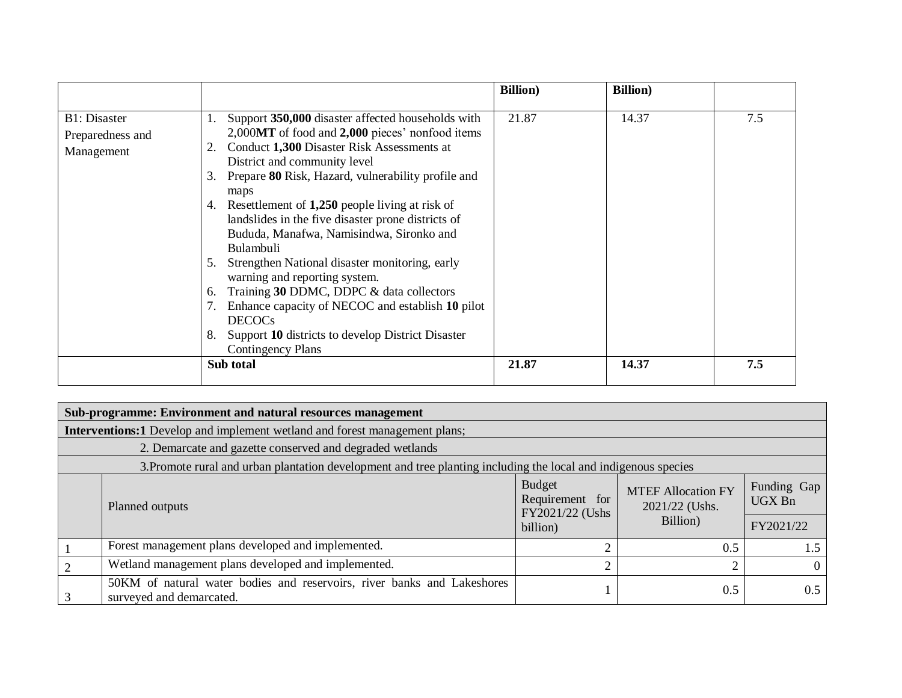|                                                        |                                                                                                                                                                                                                                                                                                                                                                                                                                                                                                                                                                                                                                                                                                                                         | <b>Billion</b> ) | <b>Billion</b> ) |     |
|--------------------------------------------------------|-----------------------------------------------------------------------------------------------------------------------------------------------------------------------------------------------------------------------------------------------------------------------------------------------------------------------------------------------------------------------------------------------------------------------------------------------------------------------------------------------------------------------------------------------------------------------------------------------------------------------------------------------------------------------------------------------------------------------------------------|------------------|------------------|-----|
| <b>B1</b> : Disaster<br>Preparedness and<br>Management | Support 350,000 disaster affected households with<br>1.<br>2,000MT of food and 2,000 pieces' nonfood items<br>Conduct 1,300 Disaster Risk Assessments at<br>District and community level<br>Prepare 80 Risk, Hazard, vulnerability profile and<br>3.<br>maps<br>4. Resettlement of 1,250 people living at risk of<br>landslides in the five disaster prone districts of<br>Bududa, Manafwa, Namisindwa, Sironko and<br>Bulambuli<br>Strengthen National disaster monitoring, early<br>5.<br>warning and reporting system.<br>Training 30 DDMC, DDPC & data collectors<br>6.<br>Enhance capacity of NECOC and establish 10 pilot<br><b>DECOCs</b><br>Support 10 districts to develop District Disaster<br>8.<br><b>Contingency Plans</b> | 21.87            | 14.37            | 7.5 |
|                                                        | Sub total                                                                                                                                                                                                                                                                                                                                                                                                                                                                                                                                                                                                                                                                                                                               | 21.87            | 14.37            | 7.5 |

| Sub-programme: Environment and natural resources management                                                    |                                  |                                                         |                       |  |  |  |
|----------------------------------------------------------------------------------------------------------------|----------------------------------|---------------------------------------------------------|-----------------------|--|--|--|
| <b>Interventions:1</b> Develop and implement wetland and forest management plans;                              |                                  |                                                         |                       |  |  |  |
| 2. Demarcate and gazette conserved and degraded wetlands                                                       |                                  |                                                         |                       |  |  |  |
| 3. Promote rural and urban plantation development and tree planting including the local and indigenous species |                                  |                                                         |                       |  |  |  |
| Planned outputs                                                                                                | <b>Budget</b><br>Requirement for | <b>MTEF Allocation FY</b><br>2021/22 (Ushs.<br>Billion) | Funding Gap<br>UGX Bn |  |  |  |
|                                                                                                                | FY2021/22 (Ushs)<br>billion)     |                                                         | FY2021/22             |  |  |  |
| Forest management plans developed and implemented.                                                             |                                  | 0.5                                                     | 1.5                   |  |  |  |
| Wetland management plans developed and implemented.                                                            | ◠                                | ⌒                                                       | $\Omega$              |  |  |  |
| 50KM of natural water bodies and reservoirs, river banks and Lakeshores<br>surveyed and demarcated.            |                                  | 0.5                                                     | 0.5                   |  |  |  |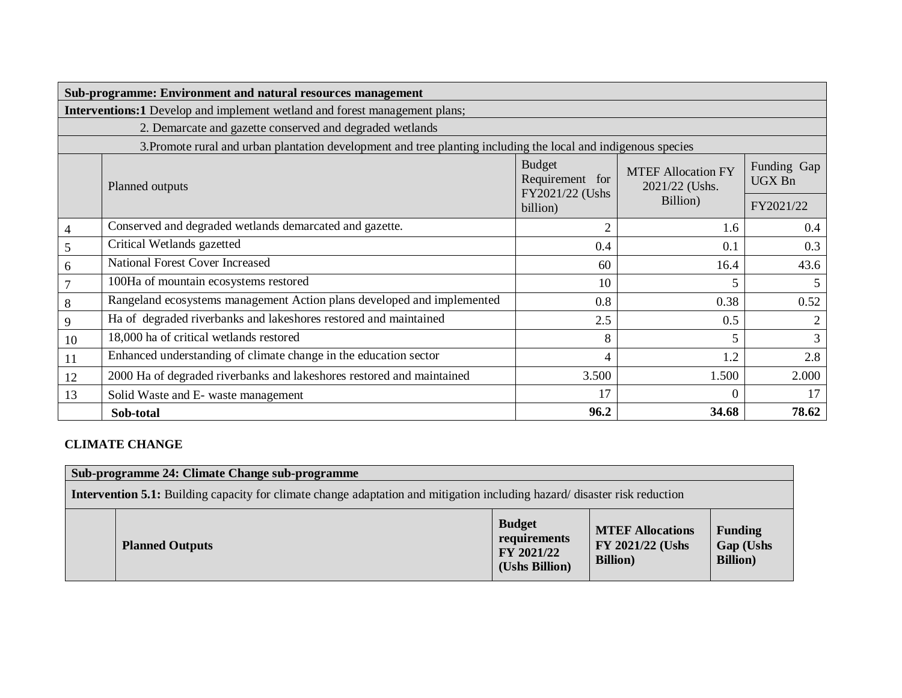|                | Sub-programme: Environment and natural resources management                                                    |                                                     |                                             |           |  |  |  |
|----------------|----------------------------------------------------------------------------------------------------------------|-----------------------------------------------------|---------------------------------------------|-----------|--|--|--|
|                | <b>Interventions:1</b> Develop and implement wetland and forest management plans;                              |                                                     |                                             |           |  |  |  |
|                | 2. Demarcate and gazette conserved and degraded wetlands                                                       |                                                     |                                             |           |  |  |  |
|                | 3. Promote rural and urban plantation development and tree planting including the local and indigenous species |                                                     |                                             |           |  |  |  |
|                | Planned outputs                                                                                                | <b>Budget</b><br>Requirement for<br>FY2021/22 (Ushs | <b>MTEF Allocation FY</b><br>2021/22 (Ushs. |           |  |  |  |
|                |                                                                                                                | billion)                                            | Billion)                                    | FY2021/22 |  |  |  |
| $\overline{4}$ | Conserved and degraded wetlands demarcated and gazette.                                                        | 2                                                   | 1.6                                         | 0.4       |  |  |  |
| 5              | Critical Wetlands gazetted                                                                                     | 0.4                                                 | 0.1                                         | 0.3       |  |  |  |
| 6              | <b>National Forest Cover Increased</b>                                                                         | 60                                                  | 16.4                                        | 43.6      |  |  |  |
|                | 100Ha of mountain ecosystems restored                                                                          | 10                                                  | 5                                           | 5         |  |  |  |
| 8              | Rangeland ecosystems management Action plans developed and implemented                                         | 0.8                                                 | 0.38                                        | 0.52      |  |  |  |
| 9              | Ha of degraded riverbanks and lakeshores restored and maintained                                               | 2.5                                                 | 0.5                                         | 2         |  |  |  |
| 10             | 18,000 ha of critical wetlands restored                                                                        | 8                                                   | 5                                           | 3         |  |  |  |
| 11             | Enhanced understanding of climate change in the education sector                                               | 4                                                   | 1.2                                         | 2.8       |  |  |  |
| 12             | 2000 Ha of degraded riverbanks and lakeshores restored and maintained                                          | 3.500                                               | 1.500                                       | 2.000     |  |  |  |
| 13             | Solid Waste and E- waste management                                                                            | 17                                                  | 0                                           | 17        |  |  |  |
|                | Sob-total                                                                                                      | 96.2                                                | 34.68                                       | 78.62     |  |  |  |

## **CLIMATE CHANGE**

|                                                                                                                                  | Sub-programme 24: Climate Change sub-programme |                                                               |                                                                 |                                                 |  |  |  |
|----------------------------------------------------------------------------------------------------------------------------------|------------------------------------------------|---------------------------------------------------------------|-----------------------------------------------------------------|-------------------------------------------------|--|--|--|
| <b>Intervention 5.1:</b> Building capacity for climate change adaptation and mitigation including hazard/disaster risk reduction |                                                |                                                               |                                                                 |                                                 |  |  |  |
|                                                                                                                                  | <b>Planned Outputs</b>                         | <b>Budget</b><br>requirements<br>FY 2021/22<br>(Ushs Billion) | <b>MTEF Allocations</b><br>FY 2021/22 (Ushs<br><b>Billion</b> ) | <b>Funding</b><br>Gap (Ushs<br><b>Billion</b> ) |  |  |  |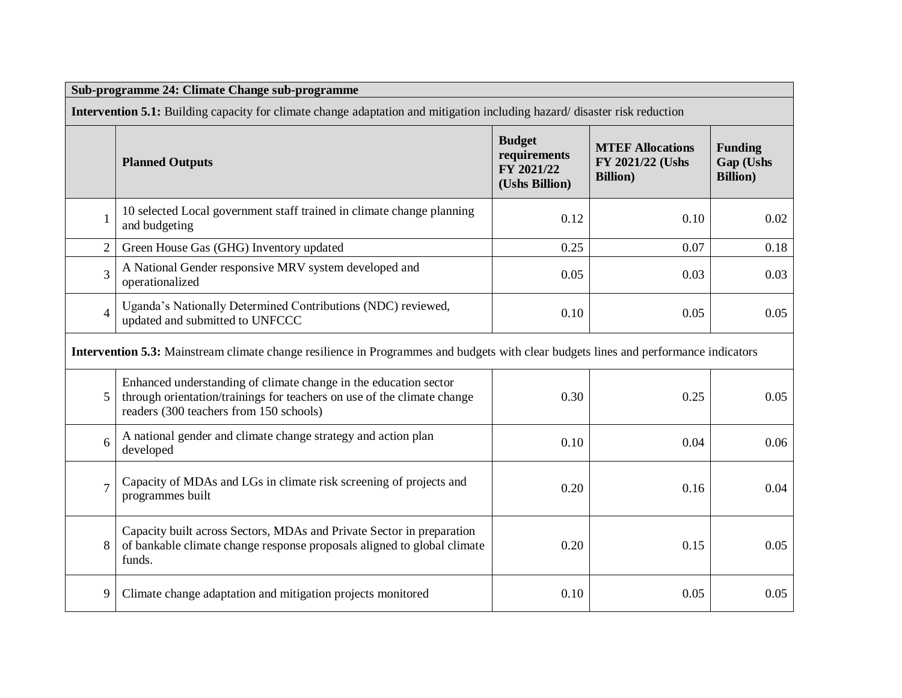| Sub-programme 24: Climate Change sub-programme |                                                                                                                                                                                        |                                                               |                                                                 |                                                 |  |  |  |
|------------------------------------------------|----------------------------------------------------------------------------------------------------------------------------------------------------------------------------------------|---------------------------------------------------------------|-----------------------------------------------------------------|-------------------------------------------------|--|--|--|
|                                                | <b>Intervention 5.1:</b> Building capacity for climate change adaptation and mitigation including hazard/disaster risk reduction                                                       |                                                               |                                                                 |                                                 |  |  |  |
|                                                | <b>Planned Outputs</b>                                                                                                                                                                 | <b>Budget</b><br>requirements<br>FY 2021/22<br>(Ushs Billion) | <b>MTEF Allocations</b><br>FY 2021/22 (Ushs<br><b>Billion</b> ) | <b>Funding</b><br>Gap (Ushs<br><b>Billion</b> ) |  |  |  |
| $\mathbf{1}$                                   | 10 selected Local government staff trained in climate change planning<br>and budgeting                                                                                                 | 0.12                                                          | 0.10                                                            | 0.02                                            |  |  |  |
| $\overline{2}$                                 | Green House Gas (GHG) Inventory updated                                                                                                                                                | 0.25                                                          | 0.07                                                            | 0.18                                            |  |  |  |
| $\overline{3}$                                 | A National Gender responsive MRV system developed and<br>operationalized                                                                                                               | 0.05                                                          | 0.03                                                            | 0.03                                            |  |  |  |
| $\overline{4}$                                 | Uganda's Nationally Determined Contributions (NDC) reviewed,<br>updated and submitted to UNFCCC                                                                                        | 0.10                                                          | 0.05                                                            | 0.05                                            |  |  |  |
|                                                | Intervention 5.3: Mainstream climate change resilience in Programmes and budgets with clear budgets lines and performance indicators                                                   |                                                               |                                                                 |                                                 |  |  |  |
| 5                                              | Enhanced understanding of climate change in the education sector<br>through orientation/trainings for teachers on use of the climate change<br>readers (300 teachers from 150 schools) | 0.30                                                          | 0.25                                                            | 0.05                                            |  |  |  |
| 6                                              | A national gender and climate change strategy and action plan<br>developed                                                                                                             | 0.10                                                          | 0.04                                                            | 0.06                                            |  |  |  |
| $\overline{7}$                                 | Capacity of MDAs and LGs in climate risk screening of projects and<br>programmes built                                                                                                 | 0.20                                                          | 0.16                                                            | 0.04                                            |  |  |  |
| 8                                              | Capacity built across Sectors, MDAs and Private Sector in preparation<br>of bankable climate change response proposals aligned to global climate<br>funds.                             | 0.20                                                          | 0.15                                                            | 0.05                                            |  |  |  |
| 9                                              | Climate change adaptation and mitigation projects monitored                                                                                                                            | 0.10                                                          | 0.05                                                            | 0.05                                            |  |  |  |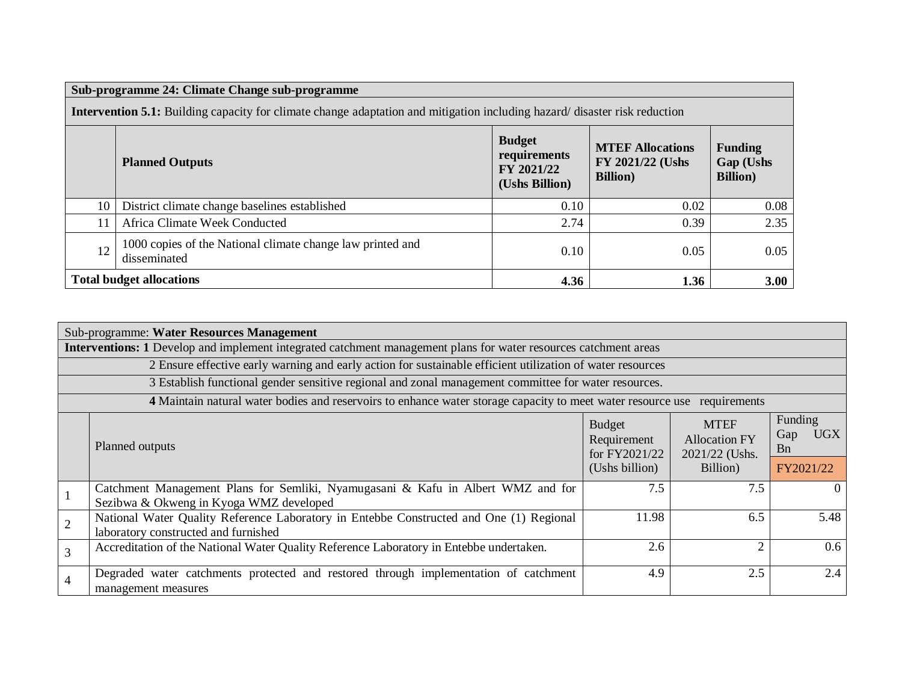|                                                                                                                                  | Sub-programme 24: Climate Change sub-programme                             |                                                               |                                                                 |                                                 |  |  |  |
|----------------------------------------------------------------------------------------------------------------------------------|----------------------------------------------------------------------------|---------------------------------------------------------------|-----------------------------------------------------------------|-------------------------------------------------|--|--|--|
| <b>Intervention 5.1:</b> Building capacity for climate change adaptation and mitigation including hazard/disaster risk reduction |                                                                            |                                                               |                                                                 |                                                 |  |  |  |
|                                                                                                                                  | <b>Planned Outputs</b>                                                     | <b>Budget</b><br>requirements<br>FY 2021/22<br>(Ushs Billion) | <b>MTEF Allocations</b><br>FY 2021/22 (Ushs<br><b>Billion</b> ) | <b>Funding</b><br>Gap (Ushs<br><b>Billion</b> ) |  |  |  |
| 10                                                                                                                               | District climate change baselines established                              | 0.10                                                          | 0.02                                                            | 0.08                                            |  |  |  |
| 11                                                                                                                               | Africa Climate Week Conducted                                              | 2.74                                                          | 0.39                                                            | 2.35                                            |  |  |  |
| 12                                                                                                                               | 1000 copies of the National climate change law printed and<br>disseminated | 0.10                                                          | 0.05                                                            | 0.05                                            |  |  |  |
|                                                                                                                                  | <b>Total budget allocations</b>                                            | 4.36                                                          | 1.36                                                            | 3.00                                            |  |  |  |

|                | Sub-programme: Water Resources Management                                                                                       |                                               |                                                       |                                            |  |  |  |
|----------------|---------------------------------------------------------------------------------------------------------------------------------|-----------------------------------------------|-------------------------------------------------------|--------------------------------------------|--|--|--|
|                | <b>Interventions:</b> 1 Develop and implement integrated catchment management plans for water resources catchment areas         |                                               |                                                       |                                            |  |  |  |
|                | 2 Ensure effective early warning and early action for sustainable efficient utilization of water resources                      |                                               |                                                       |                                            |  |  |  |
|                | 3 Establish functional gender sensitive regional and zonal management committee for water resources.                            |                                               |                                                       |                                            |  |  |  |
|                | 4 Maintain natural water bodies and reservoirs to enhance water storage capacity to meet water resource use                     |                                               | requirements                                          |                                            |  |  |  |
|                | Planned outputs                                                                                                                 | <b>Budget</b><br>Requirement<br>for FY2021/22 | <b>MTEF</b><br><b>Allocation FY</b><br>2021/22 (Ushs. | Funding<br><b>UGX</b><br>Gap<br><b>B</b> n |  |  |  |
|                |                                                                                                                                 |                                               | Billion)                                              | FY2021/22                                  |  |  |  |
|                | Catchment Management Plans for Semliki, Nyamugasani & Kafu in Albert WMZ and for<br>Sezibwa & Okweng in Kyoga WMZ developed     | 7.5                                           | 7.5                                                   | $\theta$                                   |  |  |  |
| $\overline{2}$ | National Water Quality Reference Laboratory in Entebbe Constructed and One (1) Regional<br>laboratory constructed and furnished | 11.98                                         | 6.5                                                   | 5.48                                       |  |  |  |
| $\overline{3}$ | Accreditation of the National Water Quality Reference Laboratory in Entebbe undertaken.                                         | 2.6                                           | $\overline{2}$                                        | 0.6                                        |  |  |  |
| $\overline{4}$ | Degraded water catchments protected and restored through implementation of catchment<br>management measures                     | 4.9                                           | 2.5                                                   | 2.4                                        |  |  |  |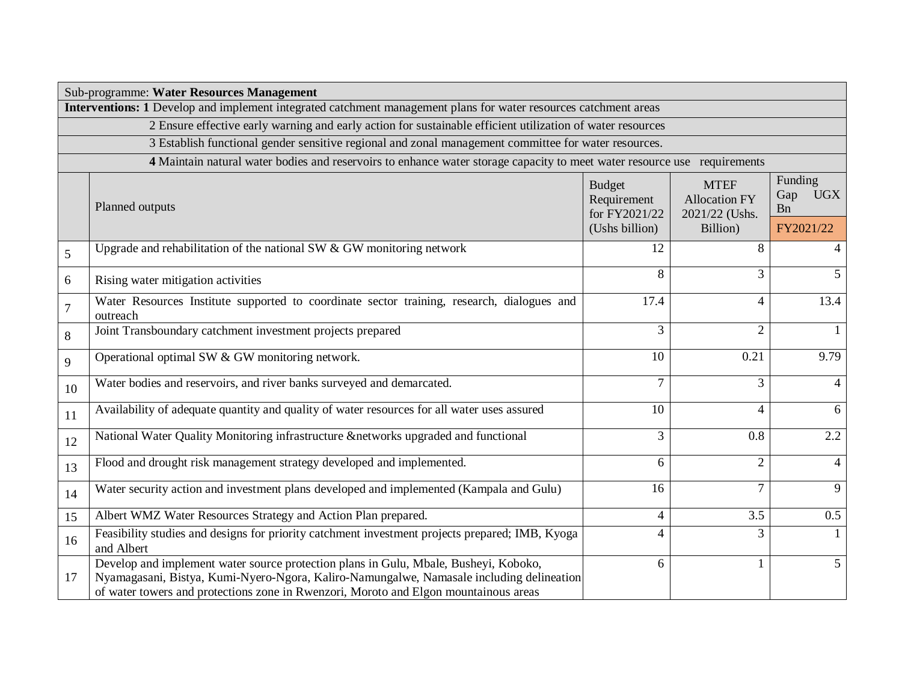|        | Sub-programme: Water Resources Management                                                                                                                                                                                                                                |                                               |                                                       |                                            |  |  |  |
|--------|--------------------------------------------------------------------------------------------------------------------------------------------------------------------------------------------------------------------------------------------------------------------------|-----------------------------------------------|-------------------------------------------------------|--------------------------------------------|--|--|--|
|        | Interventions: 1 Develop and implement integrated catchment management plans for water resources catchment areas                                                                                                                                                         |                                               |                                                       |                                            |  |  |  |
|        | 2 Ensure effective early warning and early action for sustainable efficient utilization of water resources                                                                                                                                                               |                                               |                                                       |                                            |  |  |  |
|        | 3 Establish functional gender sensitive regional and zonal management committee for water resources.                                                                                                                                                                     |                                               |                                                       |                                            |  |  |  |
|        | 4 Maintain natural water bodies and reservoirs to enhance water storage capacity to meet water resource use requirements                                                                                                                                                 |                                               |                                                       |                                            |  |  |  |
|        | Planned outputs                                                                                                                                                                                                                                                          | <b>Budget</b><br>Requirement<br>for FY2021/22 | <b>MTEF</b><br><b>Allocation FY</b><br>2021/22 (Ushs. | Funding<br><b>UGX</b><br>Gap<br><b>B</b> n |  |  |  |
|        |                                                                                                                                                                                                                                                                          | (Ushs billion)                                | Billion)                                              | FY2021/22                                  |  |  |  |
| 5      | Upgrade and rehabilitation of the national SW $&$ GW monitoring network                                                                                                                                                                                                  | 12                                            | 8                                                     |                                            |  |  |  |
| 6      | Rising water mitigation activities                                                                                                                                                                                                                                       | 8                                             | 3                                                     | 5                                          |  |  |  |
| $\tau$ | Water Resources Institute supported to coordinate sector training, research, dialogues and<br>outreach                                                                                                                                                                   | 17.4                                          | $\overline{4}$                                        | 13.4                                       |  |  |  |
| 8      | Joint Transboundary catchment investment projects prepared                                                                                                                                                                                                               | $\overline{3}$                                | $\overline{2}$                                        | $\mathbf{1}$                               |  |  |  |
| 9      | Operational optimal SW & GW monitoring network.                                                                                                                                                                                                                          | 10                                            | 0.21                                                  | 9.79                                       |  |  |  |
| 10     | Water bodies and reservoirs, and river banks surveyed and demarcated.                                                                                                                                                                                                    | 7                                             | 3                                                     | $\overline{4}$                             |  |  |  |
| 11     | Availability of adequate quantity and quality of water resources for all water uses assured                                                                                                                                                                              | 10                                            | $\overline{4}$                                        | 6                                          |  |  |  |
| 12     | National Water Quality Monitoring infrastructure &networks upgraded and functional                                                                                                                                                                                       | 3                                             | 0.8                                                   | 2.2                                        |  |  |  |
| 13     | Flood and drought risk management strategy developed and implemented.                                                                                                                                                                                                    | 6                                             | $\overline{2}$                                        | $\overline{4}$                             |  |  |  |
| 14     | Water security action and investment plans developed and implemented (Kampala and Gulu)                                                                                                                                                                                  | 16                                            | $\overline{7}$                                        | 9                                          |  |  |  |
| 15     | Albert WMZ Water Resources Strategy and Action Plan prepared.                                                                                                                                                                                                            | 4                                             | 3.5                                                   | 0.5                                        |  |  |  |
| 16     | Feasibility studies and designs for priority catchment investment projects prepared; IMB, Kyoga<br>and Albert                                                                                                                                                            | $\overline{\mathcal{A}}$                      | 3                                                     | $\mathbf{1}$                               |  |  |  |
| 17     | Develop and implement water source protection plans in Gulu, Mbale, Busheyi, Koboko,<br>Nyamagasani, Bistya, Kumi-Nyero-Ngora, Kaliro-Namungalwe, Namasale including delineation<br>of water towers and protections zone in Rwenzori, Moroto and Elgon mountainous areas | 6                                             | $\mathbf{1}$                                          | 5 <sup>5</sup>                             |  |  |  |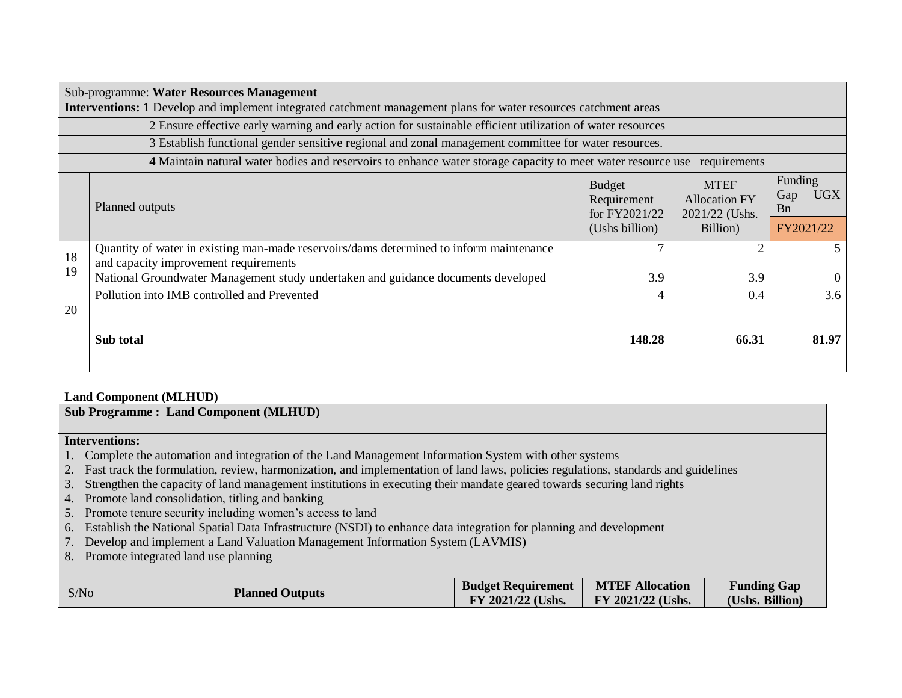| Sub-programme: Water Resources Management                                                                               |                                                                                                                                  |                                               |                                                       |                                            |  |  |  |
|-------------------------------------------------------------------------------------------------------------------------|----------------------------------------------------------------------------------------------------------------------------------|-----------------------------------------------|-------------------------------------------------------|--------------------------------------------|--|--|--|
| <b>Interventions: 1</b> Develop and implement integrated catchment management plans for water resources catchment areas |                                                                                                                                  |                                               |                                                       |                                            |  |  |  |
|                                                                                                                         | 2 Ensure effective early warning and early action for sustainable efficient utilization of water resources                       |                                               |                                                       |                                            |  |  |  |
|                                                                                                                         | 3 Establish functional gender sensitive regional and zonal management committee for water resources.                             |                                               |                                                       |                                            |  |  |  |
|                                                                                                                         | 4 Maintain natural water bodies and reservoirs to enhance water storage capacity to meet water resource use                      |                                               | requirements                                          |                                            |  |  |  |
|                                                                                                                         | Planned outputs                                                                                                                  | <b>Budget</b><br>Requirement<br>for FY2021/22 | <b>MTEF</b><br><b>Allocation FY</b><br>2021/22 (Ushs. | Funding<br><b>UGX</b><br>Gap<br><b>B</b> n |  |  |  |
|                                                                                                                         |                                                                                                                                  | (Ushs billion)                                | Billion)                                              | FY2021/22                                  |  |  |  |
| 18                                                                                                                      | Quantity of water in existing man-made reservoirs/dams determined to inform maintenance<br>and capacity improvement requirements |                                               | $\mathcal{D}_{\mathcal{L}}$                           |                                            |  |  |  |
| 19                                                                                                                      | National Groundwater Management study undertaken and guidance documents developed                                                | 3.9                                           | 3.9                                                   | $\Omega$                                   |  |  |  |
| 20                                                                                                                      | Pollution into IMB controlled and Prevented                                                                                      | 4                                             | 0.4                                                   | 3.6                                        |  |  |  |
|                                                                                                                         | Sub total                                                                                                                        | 148.28                                        | 66.31                                                 | 81.97                                      |  |  |  |

### **Land Component (MLHUD)**

**Sub Programme : Land Component (MLHUD)**

## **Interventions:**

- 1. Complete the automation and integration of the Land Management Information System with other systems
- 2. Fast track the formulation, review, harmonization, and implementation of land laws, policies regulations, standards and guidelines
- 3. Strengthen the capacity of land management institutions in executing their mandate geared towards securing land rights
- 4. Promote land consolidation, titling and banking
- 5. Promote tenure security including women's access to land
- 6. Establish the National Spatial Data Infrastructure (NSDI) to enhance data integration for planning and development
- 7. Develop and implement a Land Valuation Management Information System (LAVMIS)
- 8. Promote integrated land use planning

| <b>MTEF Allocation</b><br><b>Budget Requirement</b><br>S/No<br><b>Planned Outputs</b><br>FY 2021/22 (Ushs.<br>FY 2021/22 (Ushs. |
|---------------------------------------------------------------------------------------------------------------------------------|
|---------------------------------------------------------------------------------------------------------------------------------|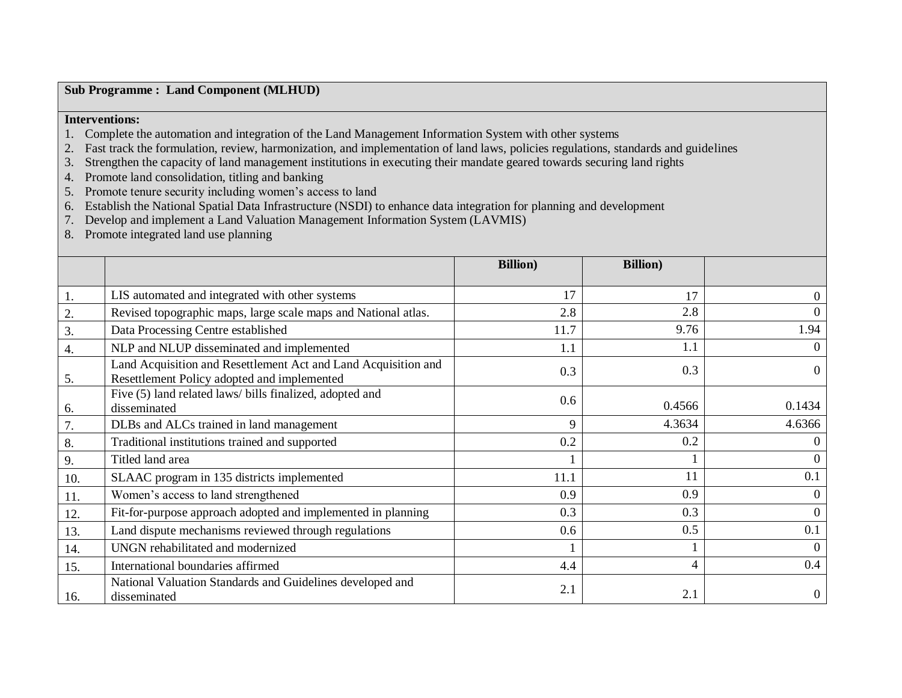### **Sub Programme : Land Component (MLHUD)**

## **Interventions:**

- 1. Complete the automation and integration of the Land Management Information System with other systems
- 2. Fast track the formulation, review, harmonization, and implementation of land laws, policies regulations, standards and guidelines
- 3. Strengthen the capacity of land management institutions in executing their mandate geared towards securing land rights
- 4. Promote land consolidation, titling and banking
- 5. Promote tenure security including women's access to land
- 6. Establish the National Spatial Data Infrastructure (NSDI) to enhance data integration for planning and development
- 7. Develop and implement a Land Valuation Management Information System (LAVMIS)
- 8. Promote integrated land use planning

|                  |                                                                                                               | <b>Billion</b> ) | <b>Billion</b> ) |                |
|------------------|---------------------------------------------------------------------------------------------------------------|------------------|------------------|----------------|
| 1.               | LIS automated and integrated with other systems                                                               | 17               | 17               | $\overline{0}$ |
| 2.               | Revised topographic maps, large scale maps and National atlas.                                                | 2.8              | 2.8              | $\theta$       |
| 3.               | Data Processing Centre established                                                                            | 11.7             | 9.76             | 1.94           |
| $\overline{4}$ . | NLP and NLUP disseminated and implemented                                                                     | 1.1              | 1.1              | $\Omega$       |
| 5.               | Land Acquisition and Resettlement Act and Land Acquisition and<br>Resettlement Policy adopted and implemented | 0.3              | 0.3              | $\Omega$       |
| 6.               | Five (5) land related laws/ bills finalized, adopted and<br>disseminated                                      | 0.6              | 0.4566           | 0.1434         |
| 7.               | DLBs and ALCs trained in land management                                                                      | 9                | 4.3634           | 4.6366         |
| 8.               | Traditional institutions trained and supported                                                                | 0.2              | 0.2              | $\theta$       |
| 9.               | Titled land area                                                                                              |                  |                  | $\theta$       |
| 10.              | SLAAC program in 135 districts implemented                                                                    | 11.1             | 11               | 0.1            |
| 11.              | Women's access to land strengthened                                                                           | 0.9              | 0.9              | $\overline{0}$ |
| 12.              | Fit-for-purpose approach adopted and implemented in planning                                                  | 0.3              | 0.3              | $\mathbf{0}$   |
| 13.              | Land dispute mechanisms reviewed through regulations                                                          | 0.6              | 0.5              | 0.1            |
| 14.              | UNGN rehabilitated and modernized                                                                             |                  |                  | $\Omega$       |
| 15.              | International boundaries affirmed                                                                             | 4.4              | 4                | 0.4            |
| 16.              | National Valuation Standards and Guidelines developed and<br>disseminated                                     | 2.1              | 2.1              | $\Omega$       |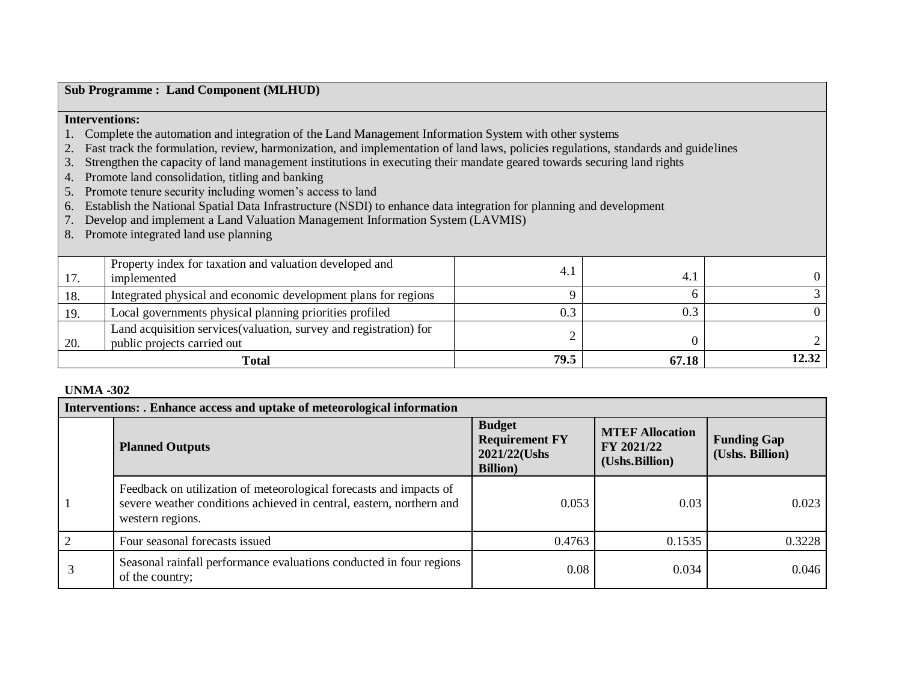|                                        | <b>Sub Programme: Land Component (MLHUD)</b>                                                                                       |                |          |                |
|----------------------------------------|------------------------------------------------------------------------------------------------------------------------------------|----------------|----------|----------------|
| <b>Interventions:</b>                  |                                                                                                                                    |                |          |                |
|                                        | Complete the automation and integration of the Land Management Information System with other systems                               |                |          |                |
|                                        | Fast track the formulation, review, harmonization, and implementation of land laws, policies regulations, standards and guidelines |                |          |                |
| 3.                                     | Strengthen the capacity of land management institutions in executing their mandate geared towards securing land rights             |                |          |                |
|                                        | Promote land consolidation, titling and banking                                                                                    |                |          |                |
|                                        | Promote tenure security including women's access to land                                                                           |                |          |                |
| 6.                                     | Establish the National Spatial Data Infrastructure (NSDI) to enhance data integration for planning and development                 |                |          |                |
|                                        | Develop and implement a Land Valuation Management Information System (LAVMIS)                                                      |                |          |                |
| 8.                                     | Promote integrated land use planning                                                                                               |                |          |                |
|                                        |                                                                                                                                    |                |          |                |
|                                        | Property index for taxation and valuation developed and                                                                            | 4.1            |          |                |
| 17.                                    | implemented                                                                                                                        |                | 4.1      | $\theta$       |
| 18.                                    | Integrated physical and economic development plans for regions                                                                     | 9              | 6        | 3              |
| 19.                                    | Local governments physical planning priorities profiled                                                                            | 0.3            | 0.3      | $\overline{0}$ |
|                                        | Land acquisition services (valuation, survey and registration) for                                                                 |                |          |                |
| 20.                                    | public projects carried out                                                                                                        | $\overline{2}$ | $\Omega$ |                |
| 12.32<br>79.5<br>67.18<br><b>Total</b> |                                                                                                                                    |                |          |                |

## **UNMA -302**

| Interventions: . Enhance access and uptake of meteorological information |                                                                                                                                                                |                                                                            |                                                        |                                       |
|--------------------------------------------------------------------------|----------------------------------------------------------------------------------------------------------------------------------------------------------------|----------------------------------------------------------------------------|--------------------------------------------------------|---------------------------------------|
|                                                                          | <b>Planned Outputs</b>                                                                                                                                         | <b>Budget</b><br><b>Requirement FY</b><br>2021/22(Ushs<br><b>Billion</b> ) | <b>MTEF Allocation</b><br>FY 2021/22<br>(Ushs.Billion) | <b>Funding Gap</b><br>(Ushs. Billion) |
|                                                                          | Feedback on utilization of meteorological forecasts and impacts of<br>severe weather conditions achieved in central, eastern, northern and<br>western regions. | 0.053                                                                      | 0.03                                                   | 0.023                                 |
| $\overline{2}$                                                           | Four seasonal forecasts issued                                                                                                                                 | 0.4763                                                                     | 0.1535                                                 | 0.3228                                |
|                                                                          | Seasonal rainfall performance evaluations conducted in four regions<br>of the country;                                                                         | 0.08                                                                       | 0.034                                                  | 0.046                                 |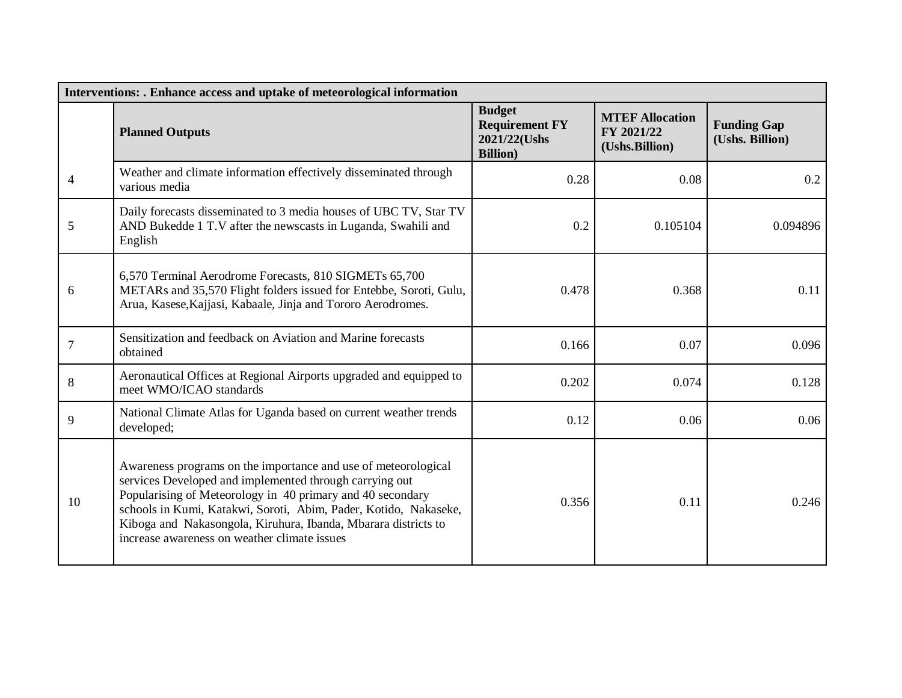| Interventions: . Enhance access and uptake of meteorological information |                                                                                                                                                                                                                                                                                                                                                                               |                                                                            |                                                        |                                       |
|--------------------------------------------------------------------------|-------------------------------------------------------------------------------------------------------------------------------------------------------------------------------------------------------------------------------------------------------------------------------------------------------------------------------------------------------------------------------|----------------------------------------------------------------------------|--------------------------------------------------------|---------------------------------------|
|                                                                          | <b>Planned Outputs</b>                                                                                                                                                                                                                                                                                                                                                        | <b>Budget</b><br><b>Requirement FY</b><br>2021/22(Ushs<br><b>Billion</b> ) | <b>MTEF Allocation</b><br>FY 2021/22<br>(Ushs.Billion) | <b>Funding Gap</b><br>(Ushs. Billion) |
| 4                                                                        | Weather and climate information effectively disseminated through<br>various media                                                                                                                                                                                                                                                                                             | 0.28                                                                       | 0.08                                                   | 0.2                                   |
| 5                                                                        | Daily forecasts disseminated to 3 media houses of UBC TV, Star TV<br>AND Bukedde 1 T.V after the newscasts in Luganda, Swahili and<br>English                                                                                                                                                                                                                                 | 0.2                                                                        | 0.105104                                               | 0.094896                              |
| 6                                                                        | 6,570 Terminal Aerodrome Forecasts, 810 SIGMETs 65,700<br>METARs and 35,570 Flight folders issued for Entebbe, Soroti, Gulu,<br>Arua, Kasese, Kajjasi, Kabaale, Jinja and Tororo Aerodromes.                                                                                                                                                                                  | 0.478                                                                      | 0.368                                                  | 0.11                                  |
| $\overline{7}$                                                           | Sensitization and feedback on Aviation and Marine forecasts<br>obtained                                                                                                                                                                                                                                                                                                       | 0.166                                                                      | 0.07                                                   | 0.096                                 |
| 8                                                                        | Aeronautical Offices at Regional Airports upgraded and equipped to<br>meet WMO/ICAO standards                                                                                                                                                                                                                                                                                 | 0.202                                                                      | 0.074                                                  | 0.128                                 |
| 9                                                                        | National Climate Atlas for Uganda based on current weather trends<br>developed;                                                                                                                                                                                                                                                                                               | 0.12                                                                       | 0.06                                                   | 0.06                                  |
| 10                                                                       | Awareness programs on the importance and use of meteorological<br>services Developed and implemented through carrying out<br>Popularising of Meteorology in 40 primary and 40 secondary<br>schools in Kumi, Katakwi, Soroti, Abim, Pader, Kotido, Nakaseke,<br>Kiboga and Nakasongola, Kiruhura, Ibanda, Mbarara districts to<br>increase awareness on weather climate issues | 0.356                                                                      | 0.11                                                   | 0.246                                 |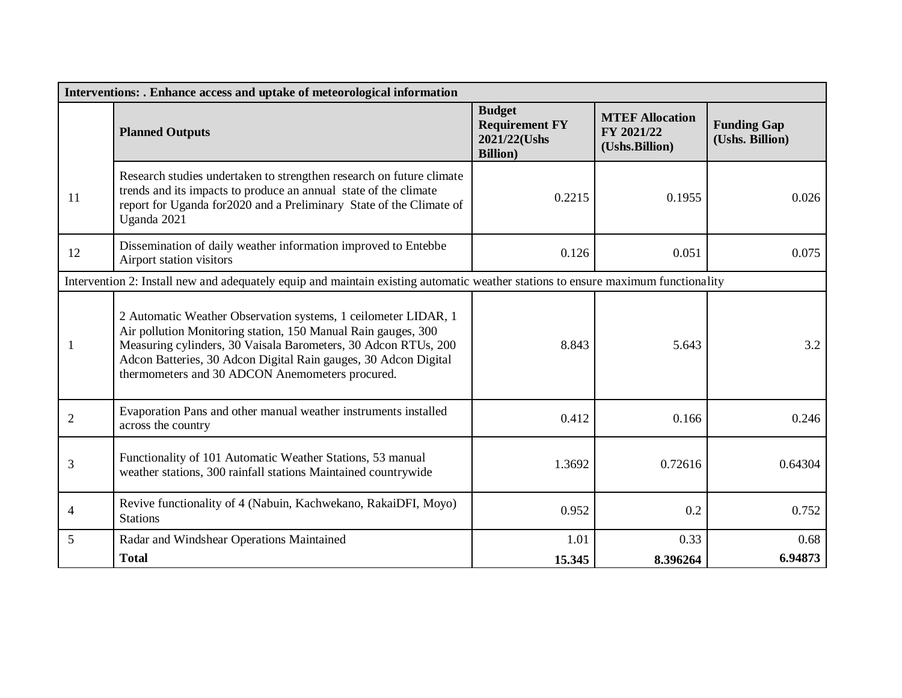| Interventions: . Enhance access and uptake of meteorological information |                                                                                                                                                                                                                                                                                                                         |                                                                            |                                                        |                                       |
|--------------------------------------------------------------------------|-------------------------------------------------------------------------------------------------------------------------------------------------------------------------------------------------------------------------------------------------------------------------------------------------------------------------|----------------------------------------------------------------------------|--------------------------------------------------------|---------------------------------------|
|                                                                          | <b>Planned Outputs</b>                                                                                                                                                                                                                                                                                                  | <b>Budget</b><br><b>Requirement FY</b><br>2021/22(Ushs<br><b>Billion</b> ) | <b>MTEF Allocation</b><br>FY 2021/22<br>(Ushs.Billion) | <b>Funding Gap</b><br>(Ushs. Billion) |
| 11                                                                       | Research studies undertaken to strengthen research on future climate<br>trends and its impacts to produce an annual state of the climate<br>report for Uganda for 2020 and a Preliminary State of the Climate of<br>Uganda 2021                                                                                         | 0.2215                                                                     | 0.1955                                                 | 0.026                                 |
| 12                                                                       | Dissemination of daily weather information improved to Entebbe<br>Airport station visitors                                                                                                                                                                                                                              | 0.126                                                                      | 0.051                                                  | 0.075                                 |
|                                                                          | Intervention 2: Install new and adequately equip and maintain existing automatic weather stations to ensure maximum functionality                                                                                                                                                                                       |                                                                            |                                                        |                                       |
|                                                                          | 2 Automatic Weather Observation systems, 1 ceilometer LIDAR, 1<br>Air pollution Monitoring station, 150 Manual Rain gauges, 300<br>Measuring cylinders, 30 Vaisala Barometers, 30 Adcon RTUs, 200<br>Adcon Batteries, 30 Adcon Digital Rain gauges, 30 Adcon Digital<br>thermometers and 30 ADCON Anemometers procured. | 8.843                                                                      | 5.643                                                  | 3.2                                   |
| $\overline{2}$                                                           | Evaporation Pans and other manual weather instruments installed<br>across the country                                                                                                                                                                                                                                   | 0.412                                                                      | 0.166                                                  | 0.246                                 |
| 3                                                                        | Functionality of 101 Automatic Weather Stations, 53 manual<br>weather stations, 300 rainfall stations Maintained countrywide                                                                                                                                                                                            | 1.3692                                                                     | 0.72616                                                | 0.64304                               |
| 4                                                                        | Revive functionality of 4 (Nabuin, Kachwekano, RakaiDFI, Moyo)<br><b>Stations</b>                                                                                                                                                                                                                                       | 0.952                                                                      | 0.2                                                    | 0.752                                 |
| 5                                                                        | Radar and Windshear Operations Maintained                                                                                                                                                                                                                                                                               | 1.01                                                                       | 0.33                                                   | 0.68                                  |
|                                                                          | <b>Total</b>                                                                                                                                                                                                                                                                                                            | 15.345                                                                     | 8.396264                                               | 6.94873                               |